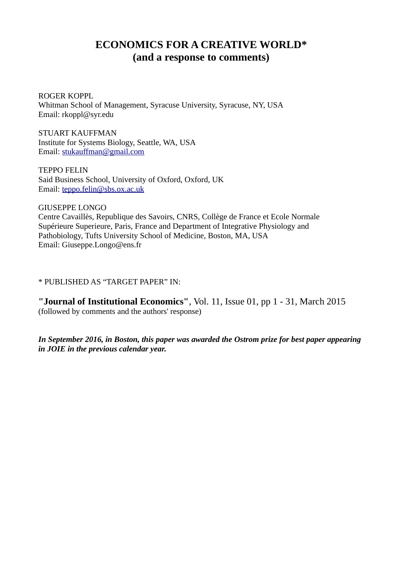# **ECONOMICS FOR A CREATIVE WORLD\* (and a response to comments)**

ROGER KOPPL Whitman School of Management, Syracuse University, Syracuse, NY, USA Email: rkoppl@syr.edu

STUART KAUFFMAN Institute for Systems Biology, Seattle, WA, USA Email: [stukauffman@gmail.com](mailto:stukauffman@gmail.com)

TEPPO FELIN Said Business School, University of Oxford, Oxford, UK Email: [teppo.felin@sbs.ox.ac.uk](mailto:teppo.felin@sbs.ox.ac.uk)

GIUSEPPE LONGO

Centre Cavaillès, Republique des Savoirs, CNRS, Collège de France et Ecole Normale Supérieure Superieure, Paris, France and Department of Integrative Physiology and Pathobiology, Tufts University School of Medicine, Boston, MA, USA Email: Giuseppe.Longo@ens.fr

\* PUBLISHED AS "TARGET PAPER" IN:

**"Journal of Institutional Economics"**, Vol. 11, Issue 01, pp 1 - 31, March 2015 (followed by comments and the authors' response)

*In September 2016, in Boston, this paper was awarded the Ostrom prize for best paper appearing in JOIE in the previous calendar year.*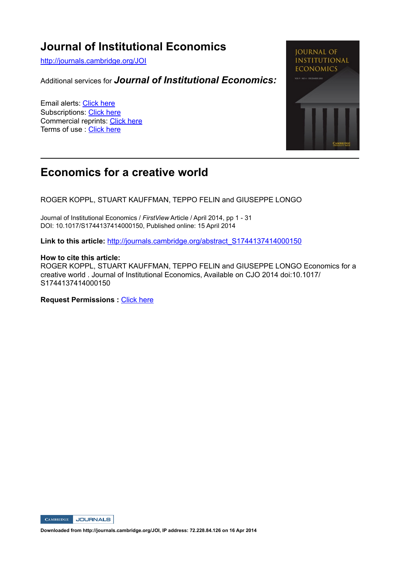# **Journal of Institutional Economics**

http://journals.cambridge.org/JOI

Additional services for **Journal of Institutional Economics:** 

Email alerts: Click here Subscriptions: Click here Commercial reprints: Click here Terms of use: Click here



# **Economics for a creative world**

ROGER KOPPL, STUART KAUFFMAN, TEPPO FELIN and GIUSEPPE LONGO

Journal of Institutional Economics / FirstView Article / April 2014, pp 1 - 31 DOI: 10.1017/S1744137414000150, Published online: 15 April 2014

Link to this article: http://journals.cambridge.org/abstract S1744137414000150

#### **How to cite this article:**

ROGER KOPPL, STUART KAUFFMAN, TEPPO FELIN and GIUSEPPE LONGO Economics for a creative world, Journal of Institutional Economics. Available on CJO 2014 doi:10.1017/ S1744137414000150

**Request Permissions: Click here** 

CAMBRIDGE JOURNALS

Downloaded from http://journals.cambridge.org/JOI, IP address: 72.228.84.126 on 16 Apr 2014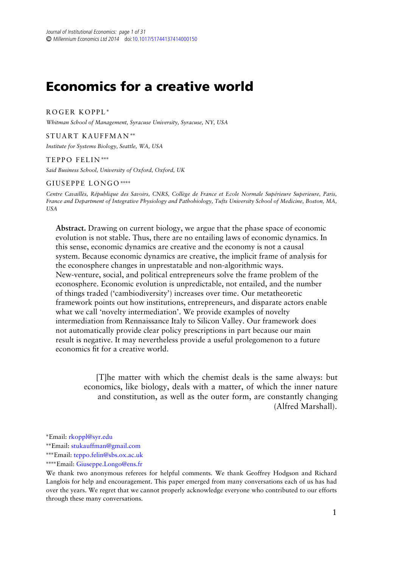# Economics for a creative world

#### ROGER KOPPL <sup>∗</sup>

*Whitman School of Management, Syracuse University, Syracuse, NY, USA*

STUART KAUFFMAN ∗∗

*Institute for Systems Biology, Seattle, WA, USA*

TEPPO FELIN ∗∗∗

*Said Business School, University of Oxford, Oxford, UK*

#### GIUSEPPE LONGO ∗∗∗∗

*Centre Cavailles, R ` epublique des Savoirs, CNRS, Coll ´ ege de France et Ecole Normale Sup ` erieure Superieure, Paris, ´ France and Department of Integrative Physiology and Pathobiology, Tufts University School of Medicine, Boston, MA, USA*

**Abstract.** Drawing on current biology, we argue that the phase space of economic evolution is not stable. Thus, there are no entailing laws of economic dynamics. In this sense, economic dynamics are creative and the economy is not a causal system. Because economic dynamics are creative, the implicit frame of analysis for the econosphere changes in unprestatable and non-algorithmic ways. New-venture, social, and political entrepreneurs solve the frame problem of the econosphere. Economic evolution is unpredictable, not entailed, and the number of things traded ('cambiodiversity') increases over time. Our metatheoretic framework points out how institutions, entrepreneurs, and disparate actors enable what we call 'novelty intermediation'. We provide examples of novelty intermediation from Rennaissance Italy to Silicon Valley. Our framework does not automatically provide clear policy prescriptions in part because our main result is negative. It may nevertheless provide a useful prolegomenon to a future economics fit for a creative world.

[T]he matter with which the chemist deals is the same always: but economics, like biology, deals with a matter, of which the inner nature and constitution, as well as the outer form, are constantly changing (Alfred Marshall).

<sup>∗</sup>Email: [rkoppl@syr.edu](mailto:rkoppl@syr.edu)

<sup>∗∗</sup>Email: [stukauffman@gmail.com](mailto:stukauffman@gmail.com)

<sup>∗∗∗</sup>Email: [teppo.felin@sbs.ox.ac.uk](mailto:teppo.felin@sbs.ox.ac.uk)

<sup>∗∗∗∗</sup>Email: [Giuseppe.Longo@ens.fr](mailto:Giuseppe.Longo@ens.fr)

We thank two anonymous referees for helpful comments. We thank Geoffrey Hodgson and Richard Langlois for help and encouragement. This paper emerged from many conversations each of us has had over the years. We regret that we cannot properly acknowledge everyone who contributed to our efforts through these many conversations.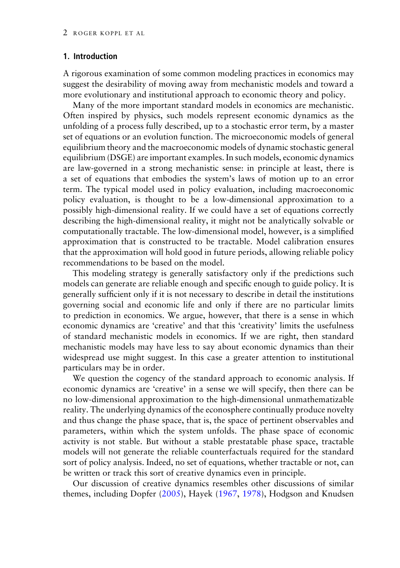### **1. Introduction**

A rigorous examination of some common modeling practices in economics may suggest the desirability of moving away from mechanistic models and toward a more evolutionary and institutional approach to economic theory and policy.

Many of the more important standard models in economics are mechanistic. Often inspired by physics, such models represent economic dynamics as the unfolding of a process fully described, up to a stochastic error term, by a master set of equations or an evolution function. The microeconomic models of general equilibrium theory and the macroeconomic models of dynamic stochastic general equilibrium (DSGE) are important examples. In such models, economic dynamics are law-governed in a strong mechanistic sense: in principle at least, there is a set of equations that embodies the system's laws of motion up to an error term. The typical model used in policy evaluation, including macroeconomic policy evaluation, is thought to be a low-dimensional approximation to a possibly high-dimensional reality. If we could have a set of equations correctly describing the high-dimensional reality, it might not be analytically solvable or computationally tractable. The low-dimensional model, however, is a simplified approximation that is constructed to be tractable. Model calibration ensures that the approximation will hold good in future periods, allowing reliable policy recommendations to be based on the model.

This modeling strategy is generally satisfactory only if the predictions such models can generate are reliable enough and specific enough to guide policy. It is generally sufficient only if it is not necessary to describe in detail the institutions governing social and economic life and only if there are no particular limits to prediction in economics. We argue, however, that there is a sense in which economic dynamics are 'creative' and that this 'creativity' limits the usefulness of standard mechanistic models in economics. If we are right, then standard mechanistic models may have less to say about economic dynamics than their widespread use might suggest. In this case a greater attention to institutional particulars may be in order.

We question the cogency of the standard approach to economic analysis. If economic dynamics are 'creative' in a sense we will specify, then there can be no low-dimensional approximation to the high-dimensional unmathematizable reality. The underlying dynamics of the econosphere continually produce novelty and thus change the phase space, that is, the space of pertinent observables and parameters, within which the system unfolds. The phase space of economic activity is not stable. But without a stable prestatable phase space, tractable models will not generate the reliable counterfactuals required for the standard sort of policy analysis. Indeed, no set of equations, whether tractable or not, can be written or track this sort of creative dynamics even in principle.

Our discussion of creative dynamics resembles other discussions of similar themes, including Dopfer [\(2005\)](#page-29-0), Hayek [\(1967,](#page-30-0) [1978\)](#page-30-1), Hodgson and Knudsen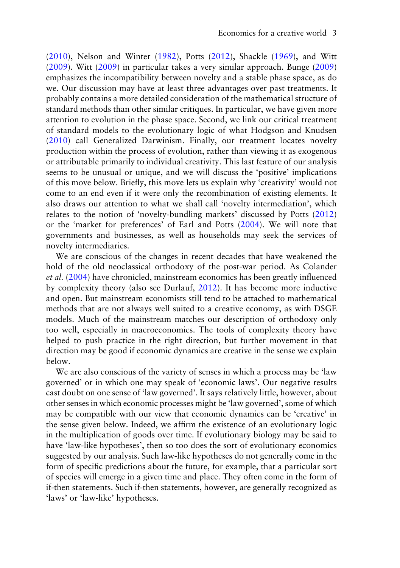[\(2010\)](#page-30-2), Nelson and Winter [\(1982\)](#page-31-0), Potts [\(2012\)](#page-31-1), Shackle [\(1969\)](#page-31-2), and Witt [\(2009\)](#page-32-0). Witt [\(2009\)](#page-32-0) in particular takes a very similar approach. Bunge [\(2009\)](#page-29-1) emphasizes the incompatibility between novelty and a stable phase space, as do we. Our discussion may have at least three advantages over past treatments. It probably contains a more detailed consideration of the mathematical structure of standard methods than other similar critiques. In particular, we have given more attention to evolution in the phase space. Second, we link our critical treatment of standard models to the evolutionary logic of what Hodgson and Knudsen [\(2010\)](#page-30-2) call Generalized Darwinism. Finally, our treatment locates novelty production within the process of evolution, rather than viewing it as exogenous or attributable primarily to individual creativity. This last feature of our analysis seems to be unusual or unique, and we will discuss the 'positive' implications of this move below. Briefly, this move lets us explain why 'creativity' would not come to an end even if it were only the recombination of existing elements. It also draws our attention to what we shall call 'novelty intermediation', which relates to the notion of 'novelty-bundling markets' discussed by Potts [\(2012\)](#page-31-1) or the 'market for preferences' of Earl and Potts [\(2004\)](#page-29-2). We will note that governments and businesses, as well as households may seek the services of novelty intermediaries.

We are conscious of the changes in recent decades that have weakened the hold of the old neoclassical orthodoxy of the post-war period. As Colander *et al.* [\(2004\)](#page-29-3) have chronicled, mainstream economics has been greatly influenced by complexity theory (also see Durlauf, [2012\)](#page-29-4). It has become more inductive and open. But mainstream economists still tend to be attached to mathematical methods that are not always well suited to a creative economy, as with DSGE models. Much of the mainstream matches our description of orthodoxy only too well, especially in macroeconomics. The tools of complexity theory have helped to push practice in the right direction, but further movement in that direction may be good if economic dynamics are creative in the sense we explain below.

We are also conscious of the variety of senses in which a process may be 'law governed' or in which one may speak of 'economic laws'. Our negative results cast doubt on one sense of 'law governed'. It says relatively little, however, about other senses in which economic processes might be 'law governed', some of which may be compatible with our view that economic dynamics can be 'creative' in the sense given below. Indeed, we affirm the existence of an evolutionary logic in the multiplication of goods over time. If evolutionary biology may be said to have 'law-like hypotheses', then so too does the sort of evolutionary economics suggested by our analysis. Such law-like hypotheses do not generally come in the form of specific predictions about the future, for example, that a particular sort of species will emerge in a given time and place. They often come in the form of if-then statements. Such if-then statements, however, are generally recognized as 'laws' or 'law-like' hypotheses.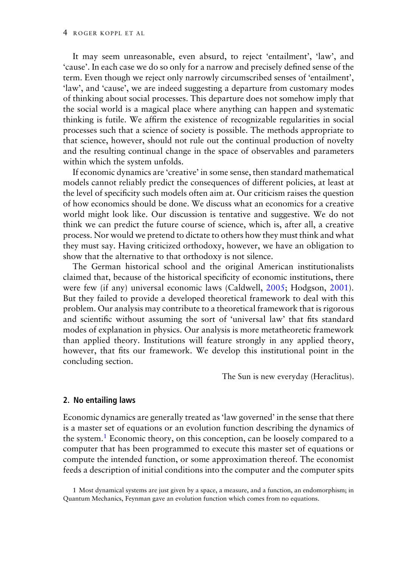It may seem unreasonable, even absurd, to reject 'entailment', 'law', and 'cause'. In each case we do so only for a narrow and precisely defined sense of the term. Even though we reject only narrowly circumscribed senses of 'entailment', 'law', and 'cause', we are indeed suggesting a departure from customary modes of thinking about social processes. This departure does not somehow imply that the social world is a magical place where anything can happen and systematic thinking is futile. We affirm the existence of recognizable regularities in social processes such that a science of society is possible. The methods appropriate to that science, however, should not rule out the continual production of novelty and the resulting continual change in the space of observables and parameters within which the system unfolds.

If economic dynamics are 'creative' in some sense, then standard mathematical models cannot reliably predict the consequences of different policies, at least at the level of specificity such models often aim at. Our criticism raises the question of how economics should be done. We discuss what an economics for a creative world might look like. Our discussion is tentative and suggestive. We do not think we can predict the future course of science, which is, after all, a creative process. Nor would we pretend to dictate to others how they must think and what they must say. Having criticized orthodoxy, however, we have an obligation to show that the alternative to that orthodoxy is not silence.

The German historical school and the original American institutionalists claimed that, because of the historical specificity of economic institutions, there were few (if any) universal economic laws (Caldwell, [2005;](#page-29-5) Hodgson, [2001\)](#page-30-3). But they failed to provide a developed theoretical framework to deal with this problem. Our analysis may contribute to a theoretical framework that is rigorous and scientific without assuming the sort of 'universal law' that fits standard modes of explanation in physics. Our analysis is more metatheoretic framework than applied theory. Institutions will feature strongly in any applied theory, however, that fits our framework. We develop this institutional point in the concluding section.

The Sun is new everyday (Heraclitus).

### **2. No entailing laws**

Economic dynamics are generally treated as 'law governed' in the sense that there is a master set of equations or an evolution function describing the dynamics of the system[.](#page-5-0)1 Economic theory, on this conception, can be loosely compared to a computer that has been programmed to execute this master set of equations or compute the intended function, or some approximation thereof. The economist feeds a description of initial conditions into the computer and the computer spits

<span id="page-5-0"></span><sup>1</sup> Most dynamical systems are just given by a space, a measure, and a function, an endomorphism; in Quantum Mechanics, Feynman gave an evolution function which comes from no equations.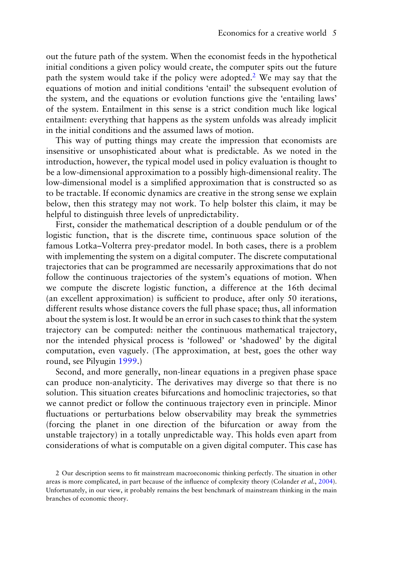out the future path of the system. When the economist feeds in the hypothetical initial conditions a given policy would create, the computer spits out the future path the system would take if the policy were adopted[.](#page-6-0)<sup>2</sup> We may say that the equations of motion and initial conditions 'entail' the subsequent evolution of the system, and the equations or evolution functions give the 'entailing laws' of the system. Entailment in this sense is a strict condition much like logical entailment: everything that happens as the system unfolds was already implicit in the initial conditions and the assumed laws of motion.

This way of putting things may create the impression that economists are insensitive or unsophisticated about what is predictable. As we noted in the introduction, however, the typical model used in policy evaluation is thought to be a low-dimensional approximation to a possibly high-dimensional reality. The low-dimensional model is a simplified approximation that is constructed so as to be tractable. If economic dynamics are creative in the strong sense we explain below, then this strategy may not work. To help bolster this claim, it may be helpful to distinguish three levels of unpredictability.

First, consider the mathematical description of a double pendulum or of the logistic function, that is the discrete time, continuous space solution of the famous Lotka–Volterra prey-predator model. In both cases, there is a problem with implementing the system on a digital computer. The discrete computational trajectories that can be programmed are necessarily approximations that do not follow the continuous trajectories of the system's equations of motion. When we compute the discrete logistic function, a difference at the 16th decimal (an excellent approximation) is sufficient to produce, after only 50 iterations, different results whose distance covers the full phase space; thus, all information about the system is lost. It would be an error in such cases to think that the system trajectory can be computed: neither the continuous mathematical trajectory, nor the intended physical process is 'followed' or 'shadowed' by the digital computation, even vaguely. (The approximation, at best, goes the other way round, see Pilyugin [1999.](#page-31-3))

Second, and more generally, non-linear equations in a pregiven phase space can produce non-analyticity. The derivatives may diverge so that there is no solution. This situation creates bifurcations and homoclinic trajectories, so that we cannot predict or follow the continuous trajectory even in principle. Minor fluctuations or perturbations below observability may break the symmetries (forcing the planet in one direction of the bifurcation or away from the unstable trajectory) in a totally unpredictable way. This holds even apart from considerations of what is computable on a given digital computer. This case has

<span id="page-6-0"></span><sup>2</sup> Our description seems to fit mainstream macroeconomic thinking perfectly. The situation in other areas is more complicated, in part because of the influence of complexity theory (Colander *et al.*, [2004\)](#page-29-3). Unfortunately, in our view, it probably remains the best benchmark of mainstream thinking in the main branches of economic theory.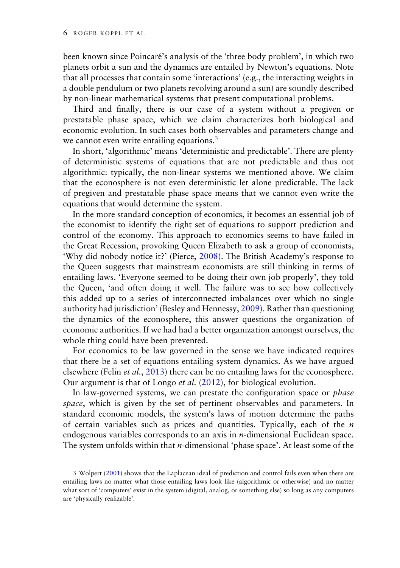been known since Poincaré's analysis of the 'three body problem', in which two planets orbit a sun and the dynamics are entailed by Newton's equations. Note that all processes that contain some 'interactions' (e.g., the interacting weights in a double pendulum or two planets revolving around a sun) are soundly described by non-linear mathematical systems that present computational problems.

Third and finally, there is our case of a system without a pregiven or prestatable phase space, which we claim characterizes both biological and economic evolution. In such cases both observables and parameters change and we cannot even write entailing equations[.](#page-7-0)<sup>3</sup>

In short, 'algorithmic' means 'deterministic and predictable'. There are plenty of deterministic systems of equations that are not predictable and thus not algorithmic: typically, the non-linear systems we mentioned above. We claim that the econosphere is not even deterministic let alone predictable. The lack of pregiven and prestatable phase space means that we cannot even write the equations that would determine the system.

In the more standard conception of economics, it becomes an essential job of the economist to identify the right set of equations to support prediction and control of the economy. This approach to economics seems to have failed in the Great Recession, provoking Queen Elizabeth to ask a group of economists, 'Why did nobody notice it?' (Pierce, [2008\)](#page-31-4). The British Academy's response to the Queen suggests that mainstream economists are still thinking in terms of entailing laws. 'Everyone seemed to be doing their own job properly', they told the Queen, 'and often doing it well. The failure was to see how collectively this added up to a series of interconnected imbalances over which no single authority had jurisdiction' (Besley and Hennessy, [2009\)](#page-29-6). Rather than questioning the dynamics of the econosphere, this answer questions the organization of economic authorities. If we had had a better organization amongst ourselves, the whole thing could have been prevented.

For economics to be law governed in the sense we have indicated requires that there be a set of equations entailing system dynamics. As we have argued elsewhere (Felin *et al.*, [2013\)](#page-29-7) there can be no entailing laws for the econosphere. Our argument is that of Longo *et al.* [\(2012\)](#page-31-5), for biological evolution.

In law-governed systems, we can prestate the configuration space or *phase space*, which is given by the set of pertinent observables and parameters. In standard economic models, the system's laws of motion determine the paths of certain variables such as prices and quantities. Typically, each of the *n* endogenous variables corresponds to an axis in *n*-dimensional Euclidean space. The system unfolds within that *n*-dimensional 'phase space'. At least some of the

<span id="page-7-0"></span><sup>3</sup> Wolpert [\(2001\)](#page-32-1) shows that the Laplacean ideal of prediction and control fails even when there are entailing laws no matter what those entailing laws look like (algorithmic or otherwise) and no matter what sort of 'computers' exist in the system (digital, analog, or something else) so long as any computers are 'physically realizable'.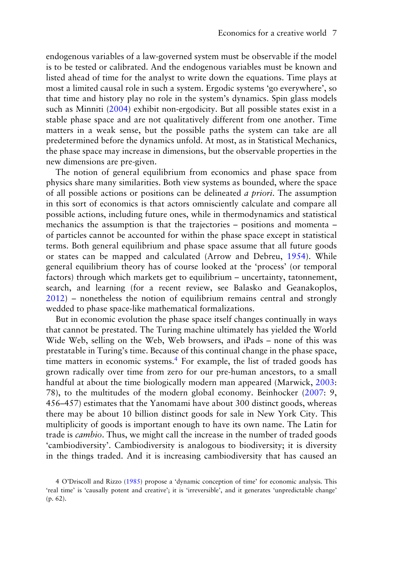endogenous variables of a law-governed system must be observable if the model is to be tested or calibrated. And the endogenous variables must be known and listed ahead of time for the analyst to write down the equations. Time plays at most a limited causal role in such a system. Ergodic systems 'go everywhere', so that time and history play no role in the system's dynamics. Spin glass models such as Minniti [\(2004\)](#page-31-6) exhibit non-ergodicity. But all possible states exist in a stable phase space and are not qualitatively different from one another. Time matters in a weak sense, but the possible paths the system can take are all predetermined before the dynamics unfold. At most, as in Statistical Mechanics, the phase space may increase in dimensions, but the observable properties in the new dimensions are pre-given.

The notion of general equilibrium from economics and phase space from physics share many similarities. Both view systems as bounded, where the space of all possible actions or positions can be delineated *a priori*. The assumption in this sort of economics is that actors omnisciently calculate and compare all possible actions, including future ones, while in thermodynamics and statistical mechanics the assumption is that the trajectories – positions and momenta – of particles cannot be accounted for within the phase space except in statistical terms. Both general equilibrium and phase space assume that all future goods or states can be mapped and calculated (Arrow and Debreu, [1954\)](#page-28-0). While general equilibrium theory has of course looked at the 'process' (or temporal factors) through which markets get to equilibrium – uncertainty, tatonnement, search, and learning (for a recent review, see Balasko and Geanakoplos, [2012\)](#page-28-1) – nonetheless the notion of equilibrium remains central and strongly wedded to phase space-like mathematical formalizations.

But in economic evolution the phase space itself changes continually in ways that cannot be prestated. The Turing machine ultimately has yielded the World Wide Web, selling on the Web, Web browsers, and iPads – none of this was prestatable in Turing's time. Because of this continual change in the phase space, time matters in economic systems[.](#page-8-0)<sup>4</sup> For example, the list of traded goods has grown radically over time from zero for our pre-human ancestors, to a small handful at about the time biologically modern man appeared (Marwick, [2003:](#page-31-7) 78), to the multitudes of the modern global economy. Beinhocker [\(2007:](#page-28-2) 9, 456–457) estimates that the Yanomami have about 300 distinct goods, whereas there may be about 10 billion distinct goods for sale in New York City. This multiplicity of goods is important enough to have its own name. The Latin for trade is *cambio*. Thus, we might call the increase in the number of traded goods 'cambiodiversity'. Cambiodiversity is analogous to biodiversity; it is diversity in the things traded. And it is increasing cambiodiversity that has caused an

<span id="page-8-0"></span><sup>4</sup> O'Driscoll and Rizzo [\(1985\)](#page-31-8) propose a 'dynamic conception of time' for economic analysis. This 'real time' is 'causally potent and creative'; it is 'irreversible', and it generates 'unpredictable change' (p. 62).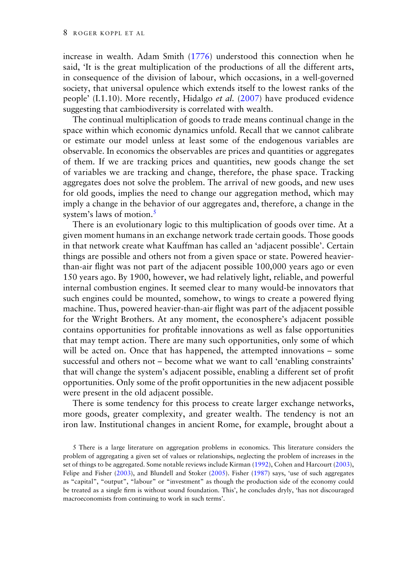increase in wealth. Adam Smith [\(1776\)](#page-32-2) understood this connection when he said, 'It is the great multiplication of the productions of all the different arts, in consequence of the division of labour, which occasions, in a well-governed society, that universal opulence which extends itself to the lowest ranks of the people' (I.1.10). More recently, Hidalgo *et al.* [\(2007\)](#page-30-4) have produced evidence suggesting that cambiodiversity is correlated with wealth.

The continual multiplication of goods to trade means continual change in the space within which economic dynamics unfold. Recall that we cannot calibrate or estimate our model unless at least some of the endogenous variables are observable. In economics the observables are prices and quantities or aggregates of them. If we are tracking prices and quantities, new goods change the set of variables we are tracking and change, therefore, the phase space. Tracking aggregates does not solve the problem. The arrival of new goods, and new uses for old goods, implies the need to change our aggregation method, which may imply a change in the behavior of our aggregates and, therefore, a change in the system's laws of motion[.](#page-9-0)<sup>5</sup>

There is an evolutionary logic to this multiplication of goods over time. At a given moment humans in an exchange network trade certain goods. Those goods in that network create what Kauffman has called an 'adjacent possible'. Certain things are possible and others not from a given space or state. Powered heavierthan-air flight was not part of the adjacent possible 100,000 years ago or even 150 years ago. By 1900, however, we had relatively light, reliable, and powerful internal combustion engines. It seemed clear to many would-be innovators that such engines could be mounted, somehow, to wings to create a powered flying machine. Thus, powered heavier-than-air flight was part of the adjacent possible for the Wright Brothers. At any moment, the econosphere's adjacent possible contains opportunities for profitable innovations as well as false opportunities that may tempt action. There are many such opportunities, only some of which will be acted on. Once that has happened, the attempted innovations – some successful and others not – become what we want to call 'enabling constraints' that will change the system's adjacent possible, enabling a different set of profit opportunities. Only some of the profit opportunities in the new adjacent possible were present in the old adjacent possible.

There is some tendency for this process to create larger exchange networks, more goods, greater complexity, and greater wealth. The tendency is not an iron law. Institutional changes in ancient Rome, for example, brought about a

<span id="page-9-0"></span><sup>5</sup> There is a large literature on aggregation problems in economics. This literature considers the problem of aggregating a given set of values or relationships, neglecting the problem of increases in the set of things to be aggregated. Some notable reviews include Kirman [\(1992\)](#page-30-5), Cohen and Harcourt [\(2003\)](#page-29-8), Felipe and Fisher [\(2003\)](#page-29-9), and Blundell and Stoker [\(2005\)](#page-29-10). Fisher [\(1987\)](#page-29-11) says, 'use of such aggregates as "capital", "output", "labour" or "investment" as though the production side of the economy could be treated as a single firm is without sound foundation. This', he concludes dryly, 'has not discouraged macroeconomists from continuing to work in such terms'.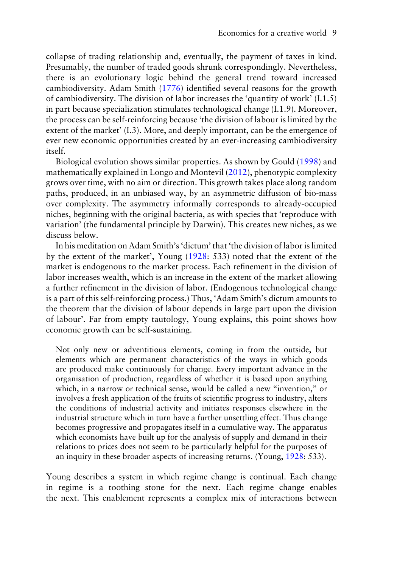collapse of trading relationship and, eventually, the payment of taxes in kind. Presumably, the number of traded goods shrunk correspondingly. Nevertheless, there is an evolutionary logic behind the general trend toward increased cambiodiversity. Adam Smith [\(1776\)](#page-32-2) identified several reasons for the growth of cambiodiversity. The division of labor increases the 'quantity of work' (I.1.5) in part because specialization stimulates technological change (I.1.9). Moreover, the process can be self-reinforcing because 'the division of labour is limited by the extent of the market' (I.3). More, and deeply important, can be the emergence of ever new economic opportunities created by an ever-increasing cambiodiversity itself.

Biological evolution shows similar properties. As shown by Gould [\(1998\)](#page-30-6) and mathematically explained in Longo and Montevil [\(2012\)](#page-31-9), phenotypic complexity grows over time, with no aim or direction. This growth takes place along random paths, produced, in an unbiased way, by an asymmetric diffusion of bio-mass over complexity. The asymmetry informally corresponds to already-occupied niches, beginning with the original bacteria, as with species that 'reproduce with variation' (the fundamental principle by Darwin). This creates new niches, as we discuss below.

In his meditation on Adam Smith's 'dictum' that 'the division of labor is limited by the extent of the market', Young [\(1928:](#page-32-3) 533) noted that the extent of the market is endogenous to the market process. Each refinement in the division of labor increases wealth, which is an increase in the extent of the market allowing a further refinement in the division of labor. (Endogenous technological change is a part of this self-reinforcing process.) Thus, 'Adam Smith's dictum amounts to the theorem that the division of labour depends in large part upon the division of labour'. Far from empty tautology, Young explains, this point shows how economic growth can be self-sustaining.

Not only new or adventitious elements, coming in from the outside, but elements which are permanent characteristics of the ways in which goods are produced make continuously for change. Every important advance in the organisation of production, regardless of whether it is based upon anything which, in a narrow or technical sense, would be called a new "invention," or involves a fresh application of the fruits of scientific progress to industry, alters the conditions of industrial activity and initiates responses elsewhere in the industrial structure which in turn have a further unsettling effect. Thus change becomes progressive and propagates itself in a cumulative way. The apparatus which economists have built up for the analysis of supply and demand in their relations to prices does not seem to be particularly helpful for the purposes of an inquiry in these broader aspects of increasing returns. (Young, [1928:](#page-32-3) 533).

Young describes a system in which regime change is continual. Each change in regime is a toothing stone for the next. Each regime change enables the next. This enablement represents a complex mix of interactions between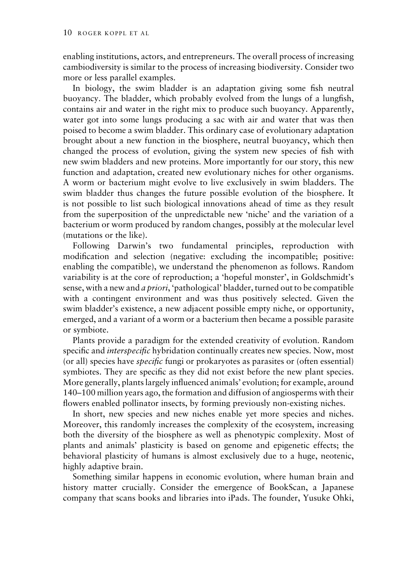enabling institutions, actors, and entrepreneurs. The overall process of increasing cambiodiversity is similar to the process of increasing biodiversity. Consider two more or less parallel examples.

In biology, the swim bladder is an adaptation giving some fish neutral buoyancy. The bladder, which probably evolved from the lungs of a lungfish, contains air and water in the right mix to produce such buoyancy. Apparently, water got into some lungs producing a sac with air and water that was then poised to become a swim bladder. This ordinary case of evolutionary adaptation brought about a new function in the biosphere, neutral buoyancy, which then changed the process of evolution, giving the system new species of fish with new swim bladders and new proteins. More importantly for our story, this new function and adaptation, created new evolutionary niches for other organisms. A worm or bacterium might evolve to live exclusively in swim bladders. The swim bladder thus changes the future possible evolution of the biosphere. It is not possible to list such biological innovations ahead of time as they result from the superposition of the unpredictable new 'niche' and the variation of a bacterium or worm produced by random changes, possibly at the molecular level (mutations or the like).

Following Darwin's two fundamental principles, reproduction with modification and selection (negative: excluding the incompatible; positive: enabling the compatible), we understand the phenomenon as follows. Random variability is at the core of reproduction; a 'hopeful monster', in Goldschmidt's sense, with a new and *a priori*, 'pathological' bladder, turned out to be compatible with a contingent environment and was thus positively selected. Given the swim bladder's existence, a new adjacent possible empty niche, or opportunity, emerged, and a variant of a worm or a bacterium then became a possible parasite or symbiote.

Plants provide a paradigm for the extended creativity of evolution. Random specific and *interspecific* hybridation continually creates new species. Now, most (or all) species have *specific* fungi or prokaryotes as parasites or (often essential) symbiotes. They are specific as they did not exist before the new plant species. More generally, plants largely influenced animals' evolution; for example, around 140–100 million years ago, the formation and diffusion of angiosperms with their flowers enabled pollinator insects, by forming previously non-existing niches.

In short, new species and new niches enable yet more species and niches. Moreover, this randomly increases the complexity of the ecosystem, increasing both the diversity of the biosphere as well as phenotypic complexity. Most of plants and animals' plasticity is based on genome and epigenetic effects; the behavioral plasticity of humans is almost exclusively due to a huge, neotenic, highly adaptive brain.

Something similar happens in economic evolution, where human brain and history matter crucially. Consider the emergence of BookScan, a Japanese company that scans books and libraries into iPads. The founder, Yusuke Ohki,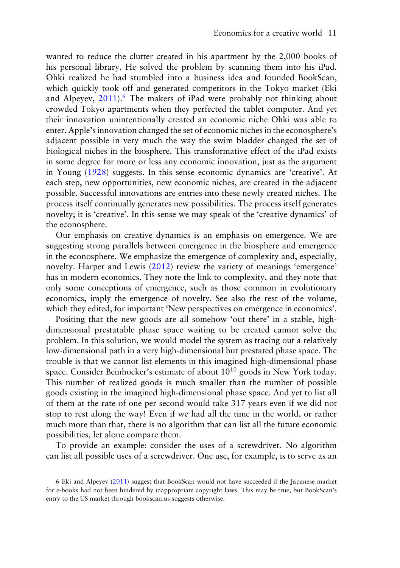wanted to reduce the clutter created in his apartment by the 2,000 books of his personal library. He solved the problem by scanning them into his iPad. Ohki realized he had stumbled into a business idea and founded BookScan, which quickly took off and generated competitors in the Tokyo market (Eki and Alpeyev, [2011\)](#page-29-12)[.](#page-12-0)<sup>6</sup> The makers of iPad were probably not thinking about crowded Tokyo apartments when they perfected the tablet computer. And yet their innovation unintentionally created an economic niche Ohki was able to enter. Apple's innovation changed the set of economic niches in the econosphere's adjacent possible in very much the way the swim bladder changed the set of biological niches in the biosphere. This transformative effect of the iPad exists in some degree for more or less any economic innovation, just as the argument in Young [\(1928\)](#page-32-3) suggests. In this sense economic dynamics are 'creative'. At each step, new opportunities, new economic niches, are created in the adjacent possible. Successful innovations are entries into these newly created niches. The process itself continually generates new possibilities. The process itself generates novelty; it is 'creative'. In this sense we may speak of the 'creative dynamics' of the econosphere.

Our emphasis on creative dynamics is an emphasis on emergence. We are suggesting strong parallels between emergence in the biosphere and emergence in the econosphere. We emphasize the emergence of complexity and, especially, novelty. Harper and Lewis [\(2012\)](#page-30-7) review the variety of meanings 'emergence' has in modern economics. They note the link to complexity, and they note that only some conceptions of emergence, such as those common in evolutionary economics, imply the emergence of novelty. See also the rest of the volume, which they edited, for important 'New perspectives on emergence in economics'.

Positing that the new goods are all somehow 'out there' in a stable, highdimensional prestatable phase space waiting to be created cannot solve the problem. In this solution, we would model the system as tracing out a relatively low-dimensional path in a very high-dimensional but prestated phase space. The trouble is that we cannot list elements in this imagined high-dimensional phase space. Consider Beinhocker's estimate of about  $10^{10}$  goods in New York today. This number of realized goods is much smaller than the number of possible goods existing in the imagined high-dimensional phase space. And yet to list all of them at the rate of one per second would take 317 years even if we did not stop to rest along the way! Even if we had all the time in the world, or rather much more than that, there is no algorithm that can list all the future economic possibilities, let alone compare them.

To provide an example: consider the uses of a screwdriver. No algorithm can list all possible uses of a screwdriver. One use, for example, is to serve as an

<span id="page-12-0"></span><sup>6</sup> Eki and Alpeyev [\(2011\)](#page-29-12) suggest that BookScan would not have succeeded if the Japanese market for e-books had not been hindered by inappropriate copyright laws. This may be true, but BookScan's entry to the US market through bookscan.us suggests otherwise.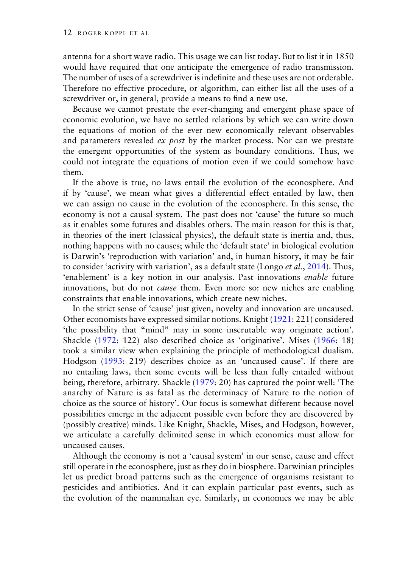antenna for a short wave radio. This usage we can list today. But to list it in 1850 would have required that one anticipate the emergence of radio transmission. The number of uses of a screwdriver is indefinite and these uses are not orderable. Therefore no effective procedure, or algorithm, can either list all the uses of a screwdriver or, in general, provide a means to find a new use.

Because we cannot prestate the ever-changing and emergent phase space of economic evolution, we have no settled relations by which we can write down the equations of motion of the ever new economically relevant observables and parameters revealed *ex post* by the market process. Nor can we prestate the emergent opportunities of the system as boundary conditions. Thus, we could not integrate the equations of motion even if we could somehow have them.

If the above is true, no laws entail the evolution of the econosphere. And if by 'cause', we mean what gives a differential effect entailed by law, then we can assign no cause in the evolution of the econosphere. In this sense, the economy is not a causal system. The past does not 'cause' the future so much as it enables some futures and disables others. The main reason for this is that, in theories of the inert (classical physics), the default state is inertia and, thus, nothing happens with no causes; while the 'default state' in biological evolution is Darwin's 'reproduction with variation' and, in human history, it may be fair to consider 'activity with variation', as a default state (Longo *et al.*, [2014\)](#page-31-10). Thus, 'enablement' is a key notion in our analysis. Past innovations *enable* future innovations, but do not *cause* them. Even more so: new niches are enabling constraints that enable innovations, which create new niches.

In the strict sense of 'cause' just given, novelty and innovation are uncaused. Other economists have expressed similar notions. Knight [\(1921:](#page-30-8) 221) considered 'the possibility that "mind" may in some inscrutable way originate action'. Shackle [\(1972:](#page-31-11) 122) also described choice as 'originative'. Mises [\(1966:](#page-31-12) 18) took a similar view when explaining the principle of methodological dualism. Hodgson [\(1993:](#page-30-9) 219) describes choice as an 'uncaused cause'. If there are no entailing laws, then some events will be less than fully entailed without being, therefore, arbitrary. Shackle [\(1979:](#page-32-4) 20) has captured the point well: 'The anarchy of Nature is as fatal as the determinacy of Nature to the notion of choice as the source of history'. Our focus is somewhat different because novel possibilities emerge in the adjacent possible even before they are discovered by (possibly creative) minds. Like Knight, Shackle, Mises, and Hodgson, however, we articulate a carefully delimited sense in which economics must allow for uncaused causes.

Although the economy is not a 'causal system' in our sense, cause and effect still operate in the econosphere, just as they do in biosphere. Darwinian principles let us predict broad patterns such as the emergence of organisms resistant to pesticides and antibiotics. And it can explain particular past events, such as the evolution of the mammalian eye. Similarly, in economics we may be able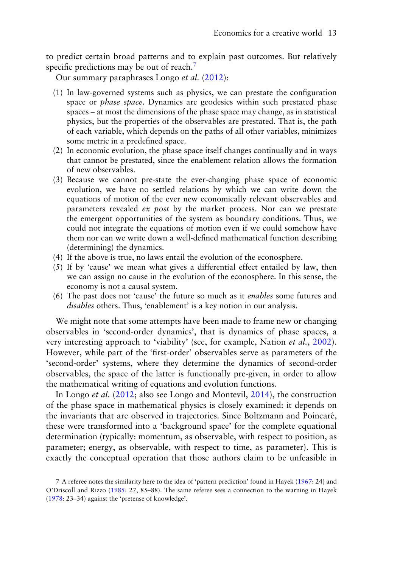to predict certain broad patterns and to explain past outcomes. But relatively specific predictions may be out of reach[.](#page-14-0)<sup>7</sup>

Our summary paraphrases Longo *et al.* [\(2012\)](#page-31-5):

- (1) In law-governed systems such as physics, we can prestate the configuration space or *phase space*. Dynamics are geodesics within such prestated phase spaces – at most the dimensions of the phase space may change, as in statistical physics, but the properties of the observables are prestated. That is, the path of each variable, which depends on the paths of all other variables, minimizes some metric in a predefined space.
- (2) In economic evolution, the phase space itself changes continually and in ways that cannot be prestated, since the enablement relation allows the formation of new observables.
- (3) Because we cannot pre-state the ever-changing phase space of economic evolution, we have no settled relations by which we can write down the equations of motion of the ever new economically relevant observables and parameters revealed *ex post* by the market process. Nor can we prestate the emergent opportunities of the system as boundary conditions. Thus, we could not integrate the equations of motion even if we could somehow have them nor can we write down a well-defined mathematical function describing (determining) the dynamics.
- (4) If the above is true, no laws entail the evolution of the econosphere.
- (5) If by 'cause' we mean what gives a differential effect entailed by law, then we can assign no cause in the evolution of the econosphere. In this sense, the economy is not a causal system.
- (6) The past does not 'cause' the future so much as it *enables* some futures and *disables* others. Thus, 'enablement' is a key notion in our analysis.

We might note that some attempts have been made to frame new or changing observables in 'second-order dynamics', that is dynamics of phase spaces, a very interesting approach to 'viability' (see, for example, Nation *et al.*, [2002\)](#page-31-13). However, while part of the 'first-order' observables serve as parameters of the 'second-order' systems, where they determine the dynamics of second-order observables, the space of the latter is functionally pre-given, in order to allow the mathematical writing of equations and evolution functions.

In Longo *et al.* [\(2012;](#page-31-5) also see Longo and Montevil, [2014\)](#page-31-14), the construction of the phase space in mathematical physics is closely examined: it depends on the invariants that are observed in trajectories. Since Boltzmann and Poincare,´ these were transformed into a 'background space' for the complete equational determination (typically: momentum, as observable, with respect to position, as parameter; energy, as observable, with respect to time, as parameter). This is exactly the conceptual operation that those authors claim to be unfeasible in

<span id="page-14-0"></span><sup>7</sup> A referee notes the similarity here to the idea of 'pattern prediction' found in Hayek [\(1967:](#page-30-0) 24) and O'Driscoll and Rizzo [\(1985:](#page-31-8) 27, 85–88). The same referee sees a connection to the warning in Hayek [\(1978:](#page-30-1) 23–34) against the 'pretense of knowledge'.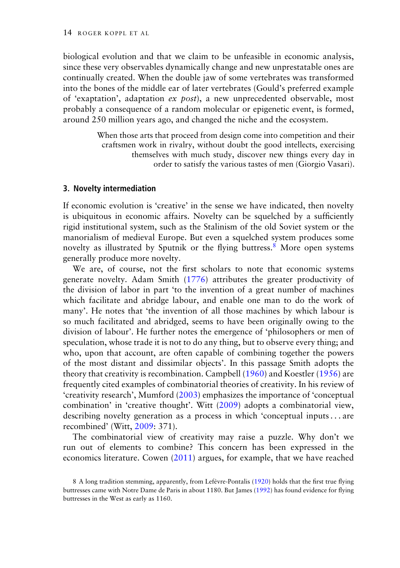biological evolution and that we claim to be unfeasible in economic analysis, since these very observables dynamically change and new unprestatable ones are continually created. When the double jaw of some vertebrates was transformed into the bones of the middle ear of later vertebrates (Gould's preferred example of 'exaptation', adaptation *ex post*), a new unprecedented observable, most probably a consequence of a random molecular or epigenetic event, is formed, around 250 million years ago, and changed the niche and the ecosystem.

> When those arts that proceed from design come into competition and their craftsmen work in rivalry, without doubt the good intellects, exercising themselves with much study, discover new things every day in order to satisfy the various tastes of men (Giorgio Vasari).

#### **3. Novelty intermediation**

If economic evolution is 'creative' in the sense we have indicated, then novelty is ubiquitous in economic affairs. Novelty can be squelched by a sufficiently rigid institutional system, such as the Stalinism of the old Soviet system or the manorialism of medieval Europe. But even a squelched system produces some novelty as illustrated by Sputnik or the flying buttress[.](#page-15-0)<sup>8</sup> More open systems generally produce more novelty.

We are, of course, not the first scholars to note that economic systems generate novelty. Adam Smith [\(1776\)](#page-32-2) attributes the greater productivity of the division of labor in part 'to the invention of a great number of machines which facilitate and abridge labour, and enable one man to do the work of many'. He notes that 'the invention of all those machines by which labour is so much facilitated and abridged, seems to have been originally owing to the division of labour'. He further notes the emergence of 'philosophers or men of speculation, whose trade it is not to do any thing, but to observe every thing; and who, upon that account, are often capable of combining together the powers of the most distant and dissimilar objects'. In this passage Smith adopts the theory that creativity is recombination. Campbell [\(1960\)](#page-29-13) and Koestler [\(1956\)](#page-30-10) are frequently cited examples of combinatorial theories of creativity. In his review of 'creativity research', Mumford [\(2003\)](#page-31-15) emphasizes the importance of 'conceptual combination' in 'creative thought'. Witt [\(2009\)](#page-32-0) adopts a combinatorial view, describing novelty generation as a process in which 'conceptual inputs . . . are recombined' (Witt, [2009:](#page-32-0) 371).

The combinatorial view of creativity may raise a puzzle. Why don't we run out of elements to combine? This concern has been expressed in the economics literature. Cowen [\(2011\)](#page-29-14) argues, for example, that we have reached

<span id="page-15-0"></span><sup>8</sup> A long tradition stemming, apparently, from Lefèvre-Pontalis ([1920\)](#page-30-11) holds that the first true flying buttresses came with Notre Dame de Paris in about 1180. But James [\(1992\)](#page-30-12) has found evidence for flying buttresses in the West as early as 1160.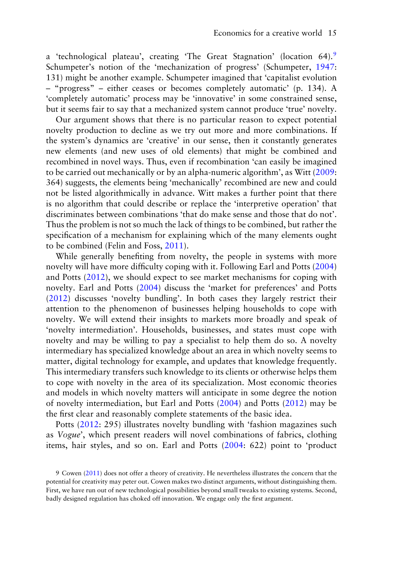a 'technological plateau', creating 'The Great Stagnation' (location 64)[.](#page-16-0)<sup>9</sup> Schumpeter's notion of the 'mechanization of progress' (Schumpeter, [1947:](#page-31-16) 131) might be another example. Schumpeter imagined that 'capitalist evolution – "progress" – either ceases or becomes completely automatic' (p. 134). A 'completely automatic' process may be 'innovative' in some constrained sense, but it seems fair to say that a mechanized system cannot produce 'true' novelty.

Our argument shows that there is no particular reason to expect potential novelty production to decline as we try out more and more combinations. If the system's dynamics are 'creative' in our sense, then it constantly generates new elements (and new uses of old elements) that might be combined and recombined in novel ways. Thus, even if recombination 'can easily be imagined to be carried out mechanically or by an alpha-numeric algorithm', as Witt [\(2009:](#page-32-0) 364) suggests, the elements being 'mechanically' recombined are new and could not be listed algorithmically in advance. Witt makes a further point that there is no algorithm that could describe or replace the 'interpretive operation' that discriminates between combinations 'that do make sense and those that do not'. Thus the problem is not so much the lack of things to be combined, but rather the specification of a mechanism for explaining which of the many elements ought to be combined (Felin and Foss, [2011\)](#page-29-15).

While generally benefiting from novelty, the people in systems with more novelty will have more difficulty coping with it. Following Earl and Potts [\(2004\)](#page-29-2) and Potts [\(2012\)](#page-31-1), we should expect to see market mechanisms for coping with novelty. Earl and Potts [\(2004\)](#page-29-2) discuss the 'market for preferences' and Potts [\(2012\)](#page-31-1) discusses 'novelty bundling'. In both cases they largely restrict their attention to the phenomenon of businesses helping households to cope with novelty. We will extend their insights to markets more broadly and speak of 'novelty intermediation'. Households, businesses, and states must cope with novelty and may be willing to pay a specialist to help them do so. A novelty intermediary has specialized knowledge about an area in which novelty seems to matter, digital technology for example, and updates that knowledge frequently. This intermediary transfers such knowledge to its clients or otherwise helps them to cope with novelty in the area of its specialization. Most economic theories and models in which novelty matters will anticipate in some degree the notion of novelty intermediation, but Earl and Potts [\(2004\)](#page-29-2) and Potts [\(2012\)](#page-31-1) may be the first clear and reasonably complete statements of the basic idea.

Potts [\(2012:](#page-31-1) 295) illustrates novelty bundling with 'fashion magazines such as *Vogue*', which present readers will novel combinations of fabrics, clothing items, hair styles, and so on. Earl and Potts [\(2004:](#page-29-2) 622) point to 'product

<span id="page-16-0"></span><sup>9</sup> Cowen [\(2011\)](#page-29-14) does not offer a theory of creativity. He nevertheless illustrates the concern that the potential for creativity may peter out. Cowen makes two distinct arguments, without distinguishing them. First, we have run out of new technological possibilities beyond small tweaks to existing systems. Second, badly designed regulation has choked off innovation. We engage only the first argument.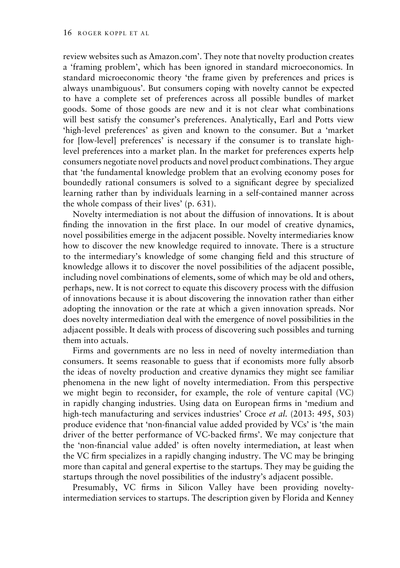review websites such as Amazon.com'. They note that novelty production creates a 'framing problem', which has been ignored in standard microeconomics. In standard microeconomic theory 'the frame given by preferences and prices is always unambiguous'. But consumers coping with novelty cannot be expected to have a complete set of preferences across all possible bundles of market goods. Some of those goods are new and it is not clear what combinations will best satisfy the consumer's preferences. Analytically, Earl and Potts view 'high-level preferences' as given and known to the consumer. But a 'market for [low-level] preferences' is necessary if the consumer is to translate highlevel preferences into a market plan. In the market for preferences experts help consumers negotiate novel products and novel product combinations. They argue that 'the fundamental knowledge problem that an evolving economy poses for boundedly rational consumers is solved to a significant degree by specialized learning rather than by individuals learning in a self-contained manner across the whole compass of their lives' (p. 631).

Novelty intermediation is not about the diffusion of innovations. It is about finding the innovation in the first place. In our model of creative dynamics, novel possibilities emerge in the adjacent possible. Novelty intermediaries know how to discover the new knowledge required to innovate. There is a structure to the intermediary's knowledge of some changing field and this structure of knowledge allows it to discover the novel possibilities of the adjacent possible, including novel combinations of elements, some of which may be old and others, perhaps, new. It is not correct to equate this discovery process with the diffusion of innovations because it is about discovering the innovation rather than either adopting the innovation or the rate at which a given innovation spreads. Nor does novelty intermediation deal with the emergence of novel possibilities in the adjacent possible. It deals with process of discovering such possibles and turning them into actuals.

Firms and governments are no less in need of novelty intermediation than consumers. It seems reasonable to guess that if economists more fully absorb the ideas of novelty production and creative dynamics they might see familiar phenomena in the new light of novelty intermediation. From this perspective we might begin to reconsider, for example, the role of venture capital (VC) in rapidly changing industries. Using data on European firms in 'medium and high-tech manufacturing and services industries' Croce *et al.* (2013: 495, 503) produce evidence that 'non-financial value added provided by VCs' is 'the main driver of the better performance of VC-backed firms'. We may conjecture that the 'non-financial value added' is often novelty intermediation, at least when the VC firm specializes in a rapidly changing industry. The VC may be bringing more than capital and general expertise to the startups. They may be guiding the startups through the novel possibilities of the industry's adjacent possible.

Presumably, VC firms in Silicon Valley have been providing noveltyintermediation services to startups. The description given by Florida and Kenney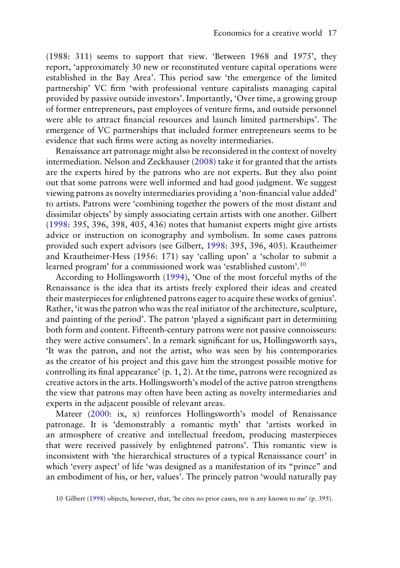(1988: 311) seems to support that view. 'Between 1968 and 1975', they report, 'approximately 30 new or reconstituted venture capital operations were established in the Bay Area'. This period saw 'the emergence of the limited partnership' VC firm 'with professional venture capitalists managing capital provided by passive outside investors'. Importantly, 'Over time, a growing group of former entrepreneurs, past employees of venture firms, and outside personnel were able to attract financial resources and launch limited partnerships'. The emergence of VC partnerships that included former entrepreneurs seems to be evidence that such firms were acting as novelty intermediaries.

Renaissance art patronage might also be reconsidered in the context of novelty intermediation. Nelson and Zeckhauser [\(2008\)](#page-31-17) take it for granted that the artists are the experts hired by the patrons who are not experts. But they also point out that some patrons were well informed and had good judgment. We suggest viewing patrons as novelty intermediaries providing a 'non-financial value added' to artists. Patrons were 'combining together the powers of the most distant and dissimilar objects' by simply associating certain artists with one another. Gilbert [\(1998:](#page-30-13) 395, 396, 398, 405, 436) notes that humanist experts might give artists advice or instruction on iconography and symbolism. In some cases patrons provided such expert advisors (see Gilbert, [1998:](#page-30-13) 395, 396, 405). Krautheimer and Krautheimer-Hess (1956: 171) say 'calling upon' a 'scholar to submit a learned program' for a commissioned work was 'established custom'[.](#page-18-0)10

According to Hollingsworth [\(1994\)](#page-30-14), 'One of the most forceful myths of the Renaissance is the idea that its artists freely explored their ideas and created their masterpieces for enlightened patrons eager to acquire these works of genius'. Rather, 'it was the patron who was the real initiator of the architecture, sculpture, and painting of the period'. The patron 'played a significant part in determining both form and content. Fifteenth-century patrons were not passive connoisseurs: they were active consumers'. In a remark significant for us, Hollingsworth says, 'It was the patron, and not the artist, who was seen by his contemporaries as the creator of his project and this gave him the strongest possible motive for controlling its final appearance' (p. 1, 2). At the time, patrons were recognized as creative actors in the arts. Hollingsworth's model of the active patron strengthens the view that patrons may often have been acting as novelty intermediaries and experts in the adjacent possible of relevant areas.

Mateer [\(2000:](#page-31-18) ix, x) reinforces Hollingsworth's model of Renaissance patronage. It is 'demonstrably a romantic myth' that 'artists worked in an atmosphere of creative and intellectual freedom, producing masterpieces that were received passively by enlightened patrons'. This romantic view is inconsistent with 'the hierarchical structures of a typical Renaissance court' in which 'every aspect' of life 'was designed as a manifestation of its "prince" and an embodiment of his, or her, values'. The princely patron 'would naturally pay

<span id="page-18-0"></span><sup>10</sup> Gilbert [\(1998\)](#page-30-13) objects, however, that, 'he cites no prior cases, nor is any known to me' (p. 395).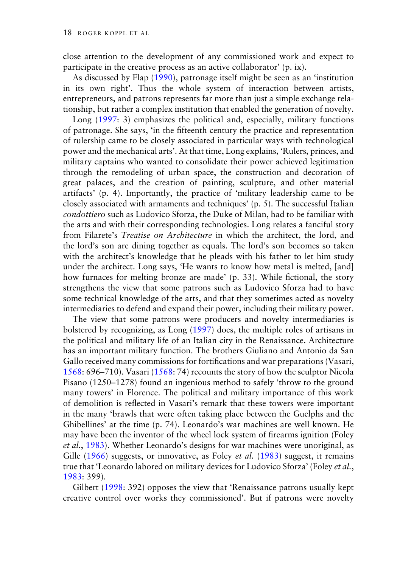close attention to the development of any commissioned work and expect to participate in the creative process as an active collaborator' (p. ix).

As discussed by Flap [\(1990\)](#page-29-16), patronage itself might be seen as an 'institution in its own right'. Thus the whole system of interaction between artists, entrepreneurs, and patrons represents far more than just a simple exchange relationship, but rather a complex institution that enabled the generation of novelty.

Long [\(1997:](#page-30-15) 3) emphasizes the political and, especially, military functions of patronage. She says, 'in the fifteenth century the practice and representation of rulership came to be closely associated in particular ways with technological power and the mechanical arts'. At that time, Long explains, 'Rulers, princes, and military captains who wanted to consolidate their power achieved legitimation through the remodeling of urban space, the construction and decoration of great palaces, and the creation of painting, sculpture, and other material artifacts' (p. 4). Importantly, the practice of 'military leadership came to be closely associated with armaments and techniques' (p. 5). The successful Italian *condottiero* such as Ludovico Sforza, the Duke of Milan, had to be familiar with the arts and with their corresponding technologies. Long relates a fanciful story from Filarete's *Treatise on Architecture* in which the architect, the lord, and the lord's son are dining together as equals. The lord's son becomes so taken with the architect's knowledge that he pleads with his father to let him study under the architect. Long says, 'He wants to know how metal is melted, [and] how furnaces for melting bronze are made' (p. 33). While fictional, the story strengthens the view that some patrons such as Ludovico Sforza had to have some technical knowledge of the arts, and that they sometimes acted as novelty intermediaries to defend and expand their power, including their military power.

The view that some patrons were producers and novelty intermediaries is bolstered by recognizing, as Long [\(1997\)](#page-30-15) does, the multiple roles of artisans in the political and military life of an Italian city in the Renaissance. Architecture has an important military function. The brothers Giuliano and Antonio da San Gallo received many commissions for fortifications and war preparations (Vasari, [1568:](#page-32-5) 696–710). Vasari [\(1568:](#page-32-5) 74) recounts the story of how the sculptor Nicola Pisano (1250–1278) found an ingenious method to safely 'throw to the ground many towers' in Florence. The political and military importance of this work of demolition is reflected in Vasari's remark that these towers were important in the many 'brawls that were often taking place between the Guelphs and the Ghibellines' at the time (p. 74). Leonardo's war machines are well known. He may have been the inventor of the wheel lock system of firearms ignition (Foley *et al.*, [1983\)](#page-30-16). Whether Leonardo's designs for war machines were unoriginal, as Gille [\(1966\)](#page-30-17) suggests, or innovative, as Foley *et al.* [\(1983\)](#page-30-16) suggest, it remains true that 'Leonardo labored on military devices for Ludovico Sforza' (Foley *et al.*, [1983:](#page-30-16) 399).

Gilbert [\(1998:](#page-30-13) 392) opposes the view that 'Renaissance patrons usually kept creative control over works they commissioned'. But if patrons were novelty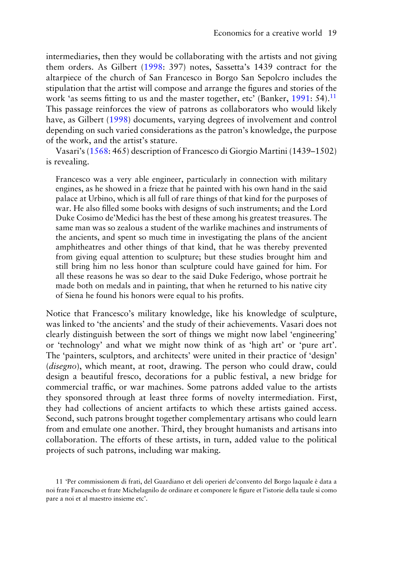intermediaries, then they would be collaborating with the artists and not giving them orders. As Gilbert [\(1998:](#page-30-13) 397) notes, Sassetta's 1439 contract for the altarpiece of the church of San Francesco in Borgo San Sepolcro includes the stipulation that the artist will compose and arrange the figures and stories of the work 'as seems fitting to us and the master together, etc' (Banker, [1991:](#page-28-3) 54)[.](#page-20-0)<sup>11</sup> This passage reinforces the view of patrons as collaborators who would likely have, as Gilbert [\(1998\)](#page-30-13) documents, varying degrees of involvement and control depending on such varied considerations as the patron's knowledge, the purpose of the work, and the artist's stature.

Vasari's [\(1568:](#page-32-5) 465) description of Francesco di Giorgio Martini (1439–1502) is revealing.

Francesco was a very able engineer, particularly in connection with military engines, as he showed in a frieze that he painted with his own hand in the said palace at Urbino, which is all full of rare things of that kind for the purposes of war. He also filled some books with designs of such instruments; and the Lord Duke Cosimo de'Medici has the best of these among his greatest treasures. The same man was so zealous a student of the warlike machines and instruments of the ancients, and spent so much time in investigating the plans of the ancient amphitheatres and other things of that kind, that he was thereby prevented from giving equal attention to sculpture; but these studies brought him and still bring him no less honor than sculpture could have gained for him. For all these reasons he was so dear to the said Duke Federigo, whose portrait he made both on medals and in painting, that when he returned to his native city of Siena he found his honors were equal to his profits.

Notice that Francesco's military knowledge, like his knowledge of sculpture, was linked to 'the ancients' and the study of their achievements. Vasari does not clearly distinguish between the sort of things we might now label 'engineering' or 'technology' and what we might now think of as 'high art' or 'pure art'. The 'painters, sculptors, and architects' were united in their practice of 'design' (*disegno*), which meant, at root, drawing. The person who could draw, could design a beautiful fresco, decorations for a public festival, a new bridge for commercial traffic, or war machines. Some patrons added value to the artists they sponsored through at least three forms of novelty intermediation. First, they had collections of ancient artifacts to which these artists gained access. Second, such patrons brought together complementary artisans who could learn from and emulate one another. Third, they brought humanists and artisans into collaboration. The efforts of these artists, in turn, added value to the political projects of such patrons, including war making.

<span id="page-20-0"></span><sup>11 &#</sup>x27;Per commissionem di frati, del Guardiano et deli operieri de'convento del Borgo laquale e data a ` noi frate Fancescho et frate Michelagnilo de ordinare et componere le figure et l'istorie della taule sì como pare a noi et al maestro insieme etc'.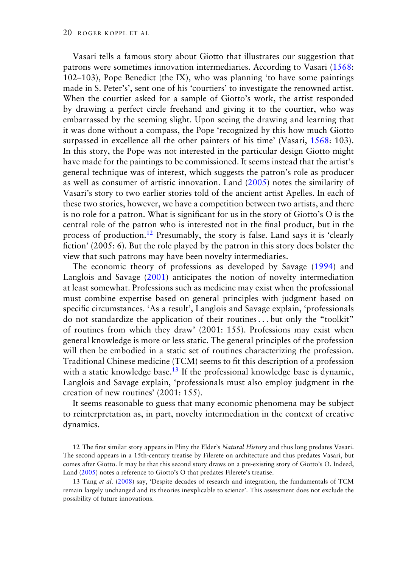Vasari tells a famous story about Giotto that illustrates our suggestion that patrons were sometimes innovation intermediaries. According to Vasari [\(1568:](#page-32-5) 102–103), Pope Benedict (the IX), who was planning 'to have some paintings made in S. Peter's', sent one of his 'courtiers' to investigate the renowned artist. When the courtier asked for a sample of Giotto's work, the artist responded by drawing a perfect circle freehand and giving it to the courtier, who was embarrassed by the seeming slight. Upon seeing the drawing and learning that it was done without a compass, the Pope 'recognized by this how much Giotto surpassed in excellence all the other painters of his time' (Vasari, [1568:](#page-32-5) 103). In this story, the Pope was not interested in the particular design Giotto might have made for the paintings to be commissioned. It seems instead that the artist's general technique was of interest, which suggests the patron's role as producer as well as consumer of artistic innovation. Land [\(2005\)](#page-30-18) notes the similarity of Vasari's story to two earlier stories told of the ancient artist Apelles. In each of these two stories, however, we have a competition between two artists, and there is no role for a patron. What is significant for us in the story of Giotto's O is the central role of the patron who is interested not in the final product, but in the process of production[.](#page-21-0)<sup>12</sup> Presumably, the story is false. Land says it is 'clearly fiction' (2005: 6). But the role played by the patron in this story does bolster the view that such patrons may have been novelty intermediaries.

The economic theory of professions as developed by Savage [\(1994\)](#page-31-19) and Langlois and Savage [\(2001\)](#page-30-19) anticipates the notion of novelty intermediation at least somewhat. Professions such as medicine may exist when the professional must combine expertise based on general principles with judgment based on specific circumstances. 'As a result', Langlois and Savage explain, 'professionals do not standardize the application of their routines . . . but only the "toolkit" of routines from which they draw' (2001: 155). Professions may exist when general knowledge is more or less static. The general principles of the profession will then be embodied in a static set of routines characterizing the profession. Traditional Chinese medicine (TCM) seems to fit this description of a profession with a static knowledge base[.](#page-21-1)<sup>13</sup> If the professional knowledge base is dynamic, Langlois and Savage explain, 'professionals must also employ judgment in the creation of new routines' (2001: 155).

It seems reasonable to guess that many economic phenomena may be subject to reinterpretation as, in part, novelty intermediation in the context of creative dynamics.

<span id="page-21-0"></span>12 The first similar story appears in Pliny the Elder's *Natural History* and thus long predates Vasari. The second appears in a 15th-century treatise by Filerete on architecture and thus predates Vasari, but comes after Giotto. It may be that this second story draws on a pre-existing story of Giotto's O. Indeed, Land [\(2005\)](#page-30-18) notes a reference to Giotto's O that predates Filerete's treatise.

<span id="page-21-1"></span>13 Tang *et al.* [\(2008\)](#page-32-6) say, 'Despite decades of research and integration, the fundamentals of TCM remain largely unchanged and its theories inexplicable to science'. This assessment does not exclude the possibility of future innovations.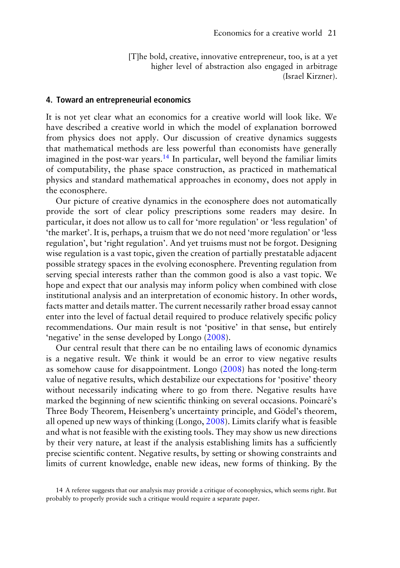[T]he bold, creative, innovative entrepreneur, too, is at a yet higher level of abstraction also engaged in arbitrage (Israel Kirzner).

### **4. Toward an entrepreneurial economics**

It is not yet clear what an economics for a creative world will look like. We have described a creative world in which the model of explanation borrowed from physics does not apply. Our discussion of creative dynamics suggests that mathematical methods are less powerful than economists have generally imagined in the post-war years[.](#page-22-0)<sup>14</sup> In particular, well beyond the familiar limits of computability, the phase space construction, as practiced in mathematical physics and standard mathematical approaches in economy, does not apply in the econosphere.

Our picture of creative dynamics in the econosphere does not automatically provide the sort of clear policy prescriptions some readers may desire. In particular, it does not allow us to call for 'more regulation' or 'less regulation' of 'the market'. It is, perhaps, a truism that we do not need 'more regulation' or 'less regulation', but 'right regulation'. And yet truisms must not be forgot. Designing wise regulation is a vast topic, given the creation of partially prestatable adjacent possible strategy spaces in the evolving econosphere. Preventing regulation from serving special interests rather than the common good is also a vast topic. We hope and expect that our analysis may inform policy when combined with close institutional analysis and an interpretation of economic history. In other words, facts matter and details matter. The current necessarily rather broad essay cannot enter into the level of factual detail required to produce relatively specific policy recommendations. Our main result is not 'positive' in that sense, but entirely 'negative' in the sense developed by Longo [\(2008\)](#page-31-20).

Our central result that there can be no entailing laws of economic dynamics is a negative result. We think it would be an error to view negative results as somehow cause for disappointment. Longo [\(2008\)](#page-31-20) has noted the long-term value of negative results, which destabilize our expectations for 'positive' theory without necessarily indicating where to go from there. Negative results have marked the beginning of new scientific thinking on several occasions. Poincaré's Three Body Theorem, Heisenberg's uncertainty principle, and Gödel's theorem, all opened up new ways of thinking (Longo, [2008\)](#page-31-20). Limits clarify what is feasible and what is not feasible with the existing tools. They may show us new directions by their very nature, at least if the analysis establishing limits has a sufficiently precise scientific content. Negative results, by setting or showing constraints and limits of current knowledge, enable new ideas, new forms of thinking. By the

<span id="page-22-0"></span>14 A referee suggests that our analysis may provide a critique of econophysics, which seems right. But probably to properly provide such a critique would require a separate paper.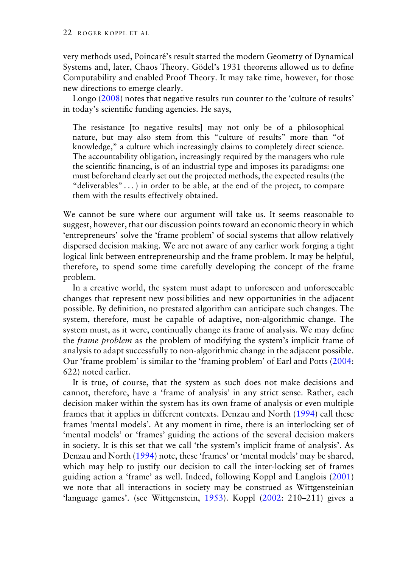very methods used, Poincaré's result started the modern Geometry of Dynamical Systems and, later, Chaos Theory. Gödel's 1931 theorems allowed us to define Computability and enabled Proof Theory. It may take time, however, for those new directions to emerge clearly.

Longo [\(2008\)](#page-31-20) notes that negative results run counter to the 'culture of results' in today's scientific funding agencies. He says,

The resistance [to negative results] may not only be of a philosophical nature, but may also stem from this "culture of results" more than "of knowledge," a culture which increasingly claims to completely direct science. The accountability obligation, increasingly required by the managers who rule the scientific financing, is of an industrial type and imposes its paradigms: one must beforehand clearly set out the projected methods, the expected results (the "deliverables" . . . ) in order to be able, at the end of the project, to compare them with the results effectively obtained.

We cannot be sure where our argument will take us. It seems reasonable to suggest, however, that our discussion points toward an economic theory in which 'entrepreneurs' solve the 'frame problem' of social systems that allow relatively dispersed decision making. We are not aware of any earlier work forging a tight logical link between entrepreneurship and the frame problem. It may be helpful, therefore, to spend some time carefully developing the concept of the frame problem.

In a creative world, the system must adapt to unforeseen and unforeseeable changes that represent new possibilities and new opportunities in the adjacent possible. By definition, no prestated algorithm can anticipate such changes. The system, therefore, must be capable of adaptive, non-algorithmic change. The system must, as it were, continually change its frame of analysis. We may define the *frame problem* as the problem of modifying the system's implicit frame of analysis to adapt successfully to non-algorithmic change in the adjacent possible. Our 'frame problem' is similar to the 'framing problem' of Earl and Potts [\(2004:](#page-29-2) 622) noted earlier.

It is true, of course, that the system as such does not make decisions and cannot, therefore, have a 'frame of analysis' in any strict sense. Rather, each decision maker within the system has its own frame of analysis or even multiple frames that it applies in different contexts. Denzau and North [\(1994\)](#page-29-17) call these frames 'mental models'. At any moment in time, there is an interlocking set of 'mental models' or 'frames' guiding the actions of the several decision makers in society. It is this set that we call 'the system's implicit frame of analysis'. As Denzau and North [\(1994\)](#page-29-17) note, these 'frames' or 'mental models' may be shared, which may help to justify our decision to call the inter-locking set of frames guiding action a 'frame' as well. Indeed, following Koppl and Langlois [\(2001\)](#page-30-20) we note that all interactions in society may be construed as Wittgensteinian 'language games'. (see Wittgenstein, [1953\)](#page-32-7). Koppl [\(2002:](#page-30-21) 210–211) gives a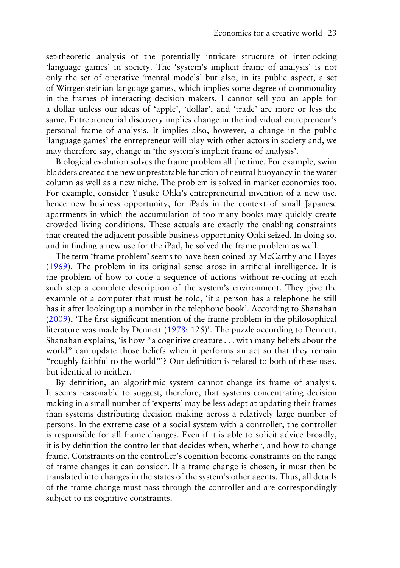set-theoretic analysis of the potentially intricate structure of interlocking 'language games' in society. The 'system's implicit frame of analysis' is not only the set of operative 'mental models' but also, in its public aspect, a set of Wittgensteinian language games, which implies some degree of commonality in the frames of interacting decision makers. I cannot sell you an apple for a dollar unless our ideas of 'apple', 'dollar', and 'trade' are more or less the same. Entrepreneurial discovery implies change in the individual entrepreneur's personal frame of analysis. It implies also, however, a change in the public 'language games' the entrepreneur will play with other actors in society and, we may therefore say, change in 'the system's implicit frame of analysis'.

Biological evolution solves the frame problem all the time. For example, swim bladders created the new unprestatable function of neutral buoyancy in the water column as well as a new niche. The problem is solved in market economies too. For example, consider Yusuke Ohki's entrepreneurial invention of a new use, hence new business opportunity, for iPads in the context of small Japanese apartments in which the accumulation of too many books may quickly create crowded living conditions. These actuals are exactly the enabling constraints that created the adjacent possible business opportunity Ohki seized. In doing so, and in finding a new use for the iPad, he solved the frame problem as well.

The term 'frame problem' seems to have been coined by McCarthy and Hayes [\(1969\)](#page-31-6). The problem in its original sense arose in artificial intelligence. It is the problem of how to code a sequence of actions without re-coding at each such step a complete description of the system's environment. They give the example of a computer that must be told, 'if a person has a telephone he still has it after looking up a number in the telephone book'. According to Shanahan [\(2009\)](#page-32-8), 'The first significant mention of the frame problem in the philosophical literature was made by Dennett [\(1978:](#page-29-18) 125)'. The puzzle according to Dennett, Shanahan explains, 'is how "a cognitive creature . . . with many beliefs about the world" can update those beliefs when it performs an act so that they remain "roughly faithful to the world"'? Our definition is related to both of these uses, but identical to neither.

By definition, an algorithmic system cannot change its frame of analysis. It seems reasonable to suggest, therefore, that systems concentrating decision making in a small number of 'experts' may be less adept at updating their frames than systems distributing decision making across a relatively large number of persons. In the extreme case of a social system with a controller, the controller is responsible for all frame changes. Even if it is able to solicit advice broadly, it is by definition the controller that decides when, whether, and how to change frame. Constraints on the controller's cognition become constraints on the range of frame changes it can consider. If a frame change is chosen, it must then be translated into changes in the states of the system's other agents. Thus, all details of the frame change must pass through the controller and are correspondingly subject to its cognitive constraints.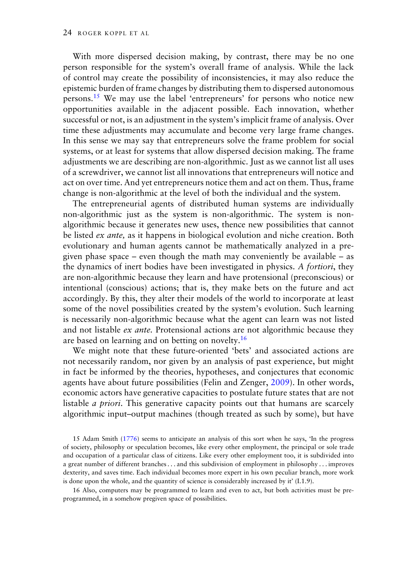With more dispersed decision making, by contrast, there may be no one person responsible for the system's overall frame of analysis. While the lack of control may create the possibility of inconsistencies, it may also reduce the epistemic burden of frame changes by distributing them to dispersed autonomous persons[.](#page-25-0)15 We may use the label 'entrepreneurs' for persons who notice new opportunities available in the adjacent possible. Each innovation, whether successful or not, is an adjustment in the system's implicit frame of analysis. Over time these adjustments may accumulate and become very large frame changes. In this sense we may say that entrepreneurs solve the frame problem for social systems, or at least for systems that allow dispersed decision making. The frame adjustments we are describing are non-algorithmic. Just as we cannot list all uses of a screwdriver, we cannot list all innovations that entrepreneurs will notice and act on over time. And yet entrepreneurs notice them and act on them. Thus, frame change is non-algorithmic at the level of both the individual and the system.

The entrepreneurial agents of distributed human systems are individually non-algorithmic just as the system is non-algorithmic. The system is nonalgorithmic because it generates new uses, thence new possibilities that cannot be listed *ex ante,* as it happens in biological evolution and niche creation. Both evolutionary and human agents cannot be mathematically analyzed in a pregiven phase space – even though the math may conveniently be available – as the dynamics of inert bodies have been investigated in physics. *A fortiori*, they are non-algorithmic because they learn and have protensional (preconscious) or intentional (conscious) actions; that is, they make bets on the future and act accordingly. By this, they alter their models of the world to incorporate at least some of the novel possibilities created by the system's evolution. Such learning is necessarily non-algorithmic because what the agent can learn was not listed and not listable *ex ante.* Protensional actions are not algorithmic because they are based on learning and on betting on novelty[.](#page-25-1)<sup>16</sup>

We might note that these future-oriented 'bets' and associated actions are not necessarily random, nor given by an analysis of past experience, but might in fact be informed by the theories, hypotheses, and conjectures that economic agents have about future possibilities (Felin and Zenger, [2009\)](#page-29-19). In other words, economic actors have generative capacities to postulate future states that are not listable *a priori*. This generative capacity points out that humans are scarcely algorithmic input–output machines (though treated as such by some), but have

<span id="page-25-0"></span>15 Adam Smith [\(1776\)](#page-32-2) seems to anticipate an analysis of this sort when he says, 'In the progress of society, philosophy or speculation becomes, like every other employment, the principal or sole trade and occupation of a particular class of citizens. Like every other employment too, it is subdivided into a great number of different branches . . . and this subdivision of employment in philosophy . . . improves dexterity, and saves time. Each individual becomes more expert in his own peculiar branch, more work is done upon the whole, and the quantity of science is considerably increased by it' (I.1.9).

<span id="page-25-1"></span>16 Also, computers may be programmed to learn and even to act, but both activities must be preprogrammed, in a somehow pregiven space of possibilities.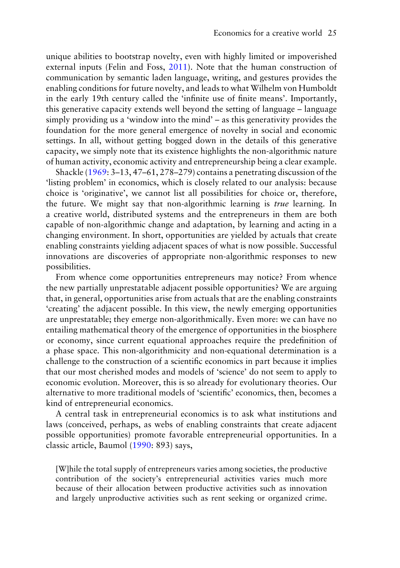unique abilities to bootstrap novelty, even with highly limited or impoverished external inputs (Felin and Foss, [2011\)](#page-29-15). Note that the human construction of communication by semantic laden language, writing, and gestures provides the enabling conditions for future novelty, and leads to what Wilhelm von Humboldt in the early 19th century called the 'infinite use of finite means'. Importantly, this generative capacity extends well beyond the setting of language – language simply providing us a 'window into the mind' – as this generativity provides the foundation for the more general emergence of novelty in social and economic settings. In all, without getting bogged down in the details of this generative capacity, we simply note that its existence highlights the non-algorithmic nature of human activity, economic activity and entrepreneurship being a clear example.

Shackle [\(1969:](#page-31-2) 3–13, 47–61, 278–279) contains a penetrating discussion of the 'listing problem' in economics, which is closely related to our analysis: because choice is 'originative', we cannot list all possibilities for choice or, therefore, the future. We might say that non-algorithmic learning is *true* learning. In a creative world, distributed systems and the entrepreneurs in them are both capable of non-algorithmic change and adaptation, by learning and acting in a changing environment. In short, opportunities are yielded by actuals that create enabling constraints yielding adjacent spaces of what is now possible. Successful innovations are discoveries of appropriate non-algorithmic responses to new possibilities.

From whence come opportunities entrepreneurs may notice? From whence the new partially unprestatable adjacent possible opportunities? We are arguing that, in general, opportunities arise from actuals that are the enabling constraints 'creating' the adjacent possible. In this view, the newly emerging opportunities are unprestatable; they emerge non-algorithmically. Even more: we can have no entailing mathematical theory of the emergence of opportunities in the biosphere or economy, since current equational approaches require the predefinition of a phase space. This non-algorithmicity and non-equational determination is a challenge to the construction of a scientific economics in part because it implies that our most cherished modes and models of 'science' do not seem to apply to economic evolution. Moreover, this is so already for evolutionary theories. Our alternative to more traditional models of 'scientific' economics, then, becomes a kind of entrepreneurial economics.

A central task in entrepreneurial economics is to ask what institutions and laws (conceived, perhaps, as webs of enabling constraints that create adjacent possible opportunities) promote favorable entrepreneurial opportunities. In a classic article, Baumol [\(1990:](#page-28-4) 893) says,

[W]hile the total supply of entrepreneurs varies among societies, the productive contribution of the society's entrepreneurial activities varies much more because of their allocation between productive activities such as innovation and largely unproductive activities such as rent seeking or organized crime.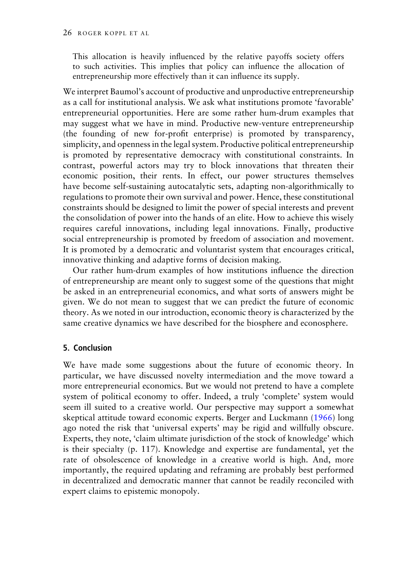This allocation is heavily influenced by the relative payoffs society offers to such activities. This implies that policy can influence the allocation of entrepreneurship more effectively than it can influence its supply.

We interpret Baumol's account of productive and unproductive entrepreneurship as a call for institutional analysis. We ask what institutions promote 'favorable' entrepreneurial opportunities. Here are some rather hum-drum examples that may suggest what we have in mind. Productive new-venture entrepreneurship (the founding of new for-profit enterprise) is promoted by transparency, simplicity, and openness in the legal system. Productive political entrepreneurship is promoted by representative democracy with constitutional constraints. In contrast, powerful actors may try to block innovations that threaten their economic position, their rents. In effect, our power structures themselves have become self-sustaining autocatalytic sets, adapting non-algorithmically to regulations to promote their own survival and power. Hence, these constitutional constraints should be designed to limit the power of special interests and prevent the consolidation of power into the hands of an elite. How to achieve this wisely requires careful innovations, including legal innovations. Finally, productive social entrepreneurship is promoted by freedom of association and movement. It is promoted by a democratic and voluntarist system that encourages critical, innovative thinking and adaptive forms of decision making.

Our rather hum-drum examples of how institutions influence the direction of entrepreneurship are meant only to suggest some of the questions that might be asked in an entrepreneurial economics, and what sorts of answers might be given. We do not mean to suggest that we can predict the future of economic theory. As we noted in our introduction, economic theory is characterized by the same creative dynamics we have described for the biosphere and econosphere.

## **5. Conclusion**

We have made some suggestions about the future of economic theory. In particular, we have discussed novelty intermediation and the move toward a more entrepreneurial economics. But we would not pretend to have a complete system of political economy to offer. Indeed, a truly 'complete' system would seem ill suited to a creative world. Our perspective may support a somewhat skeptical attitude toward economic experts. Berger and Luckmann [\(1966\)](#page-28-5) long ago noted the risk that 'universal experts' may be rigid and willfully obscure. Experts, they note, 'claim ultimate jurisdiction of the stock of knowledge' which is their specialty (p. 117). Knowledge and expertise are fundamental, yet the rate of obsolescence of knowledge in a creative world is high. And, more importantly, the required updating and reframing are probably best performed in decentralized and democratic manner that cannot be readily reconciled with expert claims to epistemic monopoly.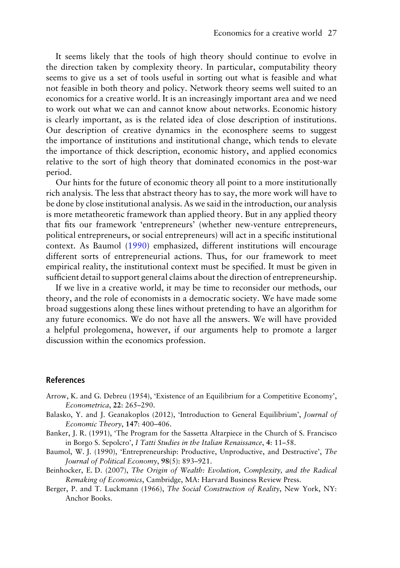It seems likely that the tools of high theory should continue to evolve in the direction taken by complexity theory. In particular, computability theory seems to give us a set of tools useful in sorting out what is feasible and what not feasible in both theory and policy. Network theory seems well suited to an economics for a creative world. It is an increasingly important area and we need to work out what we can and cannot know about networks. Economic history is clearly important, as is the related idea of close description of institutions. Our description of creative dynamics in the econosphere seems to suggest the importance of institutions and institutional change, which tends to elevate the importance of thick description, economic history, and applied economics relative to the sort of high theory that dominated economics in the post-war period.

Our hints for the future of economic theory all point to a more institutionally rich analysis. The less that abstract theory has to say, the more work will have to be done by close institutional analysis. As we said in the introduction, our analysis is more metatheoretic framework than applied theory. But in any applied theory that fits our framework 'entrepreneurs' (whether new-venture entrepreneurs, political entrepreneurs, or social entrepreneurs) will act in a specific institutional context. As Baumol [\(1990\)](#page-28-4) emphasized, different institutions will encourage different sorts of entrepreneurial actions. Thus, for our framework to meet empirical reality, the institutional context must be specified. It must be given in sufficient detail to support general claims about the direction of entrepreneurship.

If we live in a creative world, it may be time to reconsider our methods, our theory, and the role of economists in a democratic society. We have made some broad suggestions along these lines without pretending to have an algorithm for any future economics. We do not have all the answers. We will have provided a helpful prolegomena, however, if our arguments help to promote a larger discussion within the economics profession.

### <span id="page-28-0"></span>**References**

- <span id="page-28-1"></span>Arrow, K. and G. Debreu (1954), 'Existence of an Equilibrium for a Competitive Economy', *Econometrica*, **22**: 265–290.
- <span id="page-28-3"></span>Balasko, Y. and J. Geanakoplos (2012), 'Introduction to General Equilibrium', *Journal of Economic Theory*, **147**: 400–406.
- <span id="page-28-4"></span>Banker, J. R. (1991), 'The Program for the Sassetta Altarpiece in the Church of S. Francisco in Borgo S. Sepolcro', *I Tatti Studies in the Italian Renaissance*, **4**: 11–58.
- <span id="page-28-2"></span>Baumol, W. J. (1990), 'Entrepreneurship: Productive, Unproductive, and Destructive', *The Journal of Political Economy*, **98**(5): 893–921.
- <span id="page-28-5"></span>Beinhocker, E. D. (2007), *The Origin of Wealth: Evolution, Complexity, and the Radical Remaking of Economics*, Cambridge, MA: Harvard Business Review Press.
- Berger, P. and T. Luckmann (1966), *The Social Construction of Reality*, New York, NY: Anchor Books.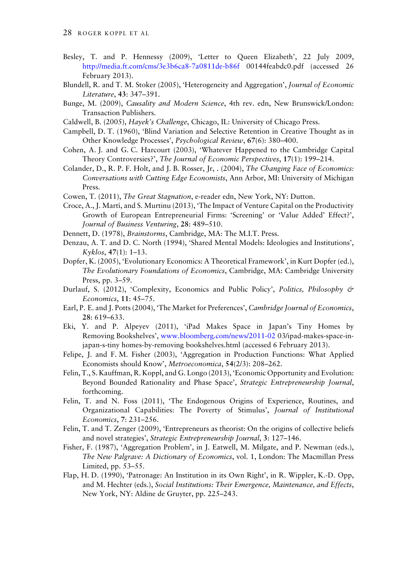- <span id="page-29-10"></span><span id="page-29-6"></span>Besley, T. and P. Hennessy (2009), 'Letter to Queen Elizabeth', 22 July 2009, <http://media.ft.com/cms/3e3b6ca8-7a0811de-b86f> 00144feabdc0.pdf (accessed 26 February 2013).
- <span id="page-29-1"></span>Blundell, R. and T. M. Stoker (2005), 'Heterogeneity and Aggregation', *Journal of Economic Literature*, **43**: 347–391.
- <span id="page-29-5"></span>Bunge, M. (2009), *Causality and Modern Science*, 4th rev. edn, New Brunswick/London: Transaction Publishers.
- <span id="page-29-13"></span>Caldwell, B. (2005), *Hayek's Challenge*, Chicago, IL: University of Chicago Press.
- <span id="page-29-8"></span>Campbell, D. T. (1960), 'Blind Variation and Selective Retention in Creative Thought as in Other Knowledge Processes', *Psychological Review*, **67**(6): 380–400.
- <span id="page-29-3"></span>Cohen, A. J. and G. C. Harcourt (2003), 'Whatever Happened to the Cambridge Capital Theory Controversies?', *The Journal of Economic Perspectives*, **17**(1): 199–214.
- <span id="page-29-14"></span>Colander, D., R. P. F. Holt, and J. B. Rosser, Jr, . (2004), *The Changing Face of Economics: Conversations with Cutting Edge Economists*, Ann Arbor, MI: University of Michigan Press.
- Cowen, T. (2011), *The Great Stagnation*, e-reader edn, New York, NY: Dutton.
- <span id="page-29-18"></span>Croce, A., J. Martí, and S. Murtinu (2013), 'The Impact of Venture Capital on the Productivity Growth of European Entrepreneurial Firms: 'Screening' or 'Value Added' Effect?', *Journal of Business Venturing*, **28**: 489–510.
- <span id="page-29-17"></span>Dennett, D. (1978), *Brainstorms*, Cambridge, MA: The M.I.T. Press.
- <span id="page-29-0"></span>Denzau, A. T. and D. C. North (1994), 'Shared Mental Models: Ideologies and Institutions', *Kyklos*, **47**(1): 1–13.
- <span id="page-29-4"></span>Dopfer, K. (2005), 'Evolutionary Economics: A Theoretical Framework', in Kurt Dopfer (ed.), *The Evolutionary Foundations of Economics*, Cambridge, MA: Cambridge University Press, pp. 3–59.
- <span id="page-29-2"></span>Durlauf, S. (2012), 'Complexity, Economics and Public Policy', *Politics, Philosophy & Economics*, **11**: 45–75.
- <span id="page-29-12"></span>Earl, P. E. and J. Potts (2004), 'The Market for Preferences', *Cambridge Journal of Economics*, **28**: 619–633.
- <span id="page-29-9"></span>Eki, Y. and P. Alpeyev (2011), 'iPad Makes Space in Japan's Tiny Homes by Removing Bookshelves', [www.bloomberg.com/news/2011-02](http://www.bloomberg.com/news/2011-02) 03/ipad-makes-space-injapan-s-tiny homes-by-removing bookshelves.html (accessed 6 February 2013).
- <span id="page-29-7"></span>Felipe, J. and F. M. Fisher (2003), 'Aggregation in Production Functions: What Applied Economists should Know', *Metroeconomica*, **54**(2/3): 208–262.
- <span id="page-29-15"></span>Felin, T., S. Kauffman, R. Koppl, and G. Longo (2013), 'Economic Opportunity and Evolution: Beyond Bounded Rationality and Phase Space', *Strategic Entrepreneurship Journal*, forthcoming.
- <span id="page-29-19"></span>Felin, T. and N. Foss (2011), 'The Endogenous Origins of Experience, Routines, and Organizational Capabilities: The Poverty of Stimulus', *Journal of Institutional Economics*, **7**: 231–256.
- <span id="page-29-11"></span>Felin, T. and T. Zenger (2009), 'Entrepreneurs as theorist: On the origins of collective beliefs and novel strategies', *Strategic Entrepreneurship Journal*, **3**: 127–146.
- <span id="page-29-16"></span>Fisher, F. (1987), 'Aggregation Problem', in J. Eatwell, M. Milgate, and P. Newman (eds.), *The New Palgrave: A Dictionary of Economics*, vol. 1, London: The Macmillan Press Limited, pp. 53–55.
- Flap, H. D. (1990), 'Patronage: An Institution in its Own Right', in R. Wippler, K.-D. Opp, and M. Hechter (eds.), *Social Institutions: Their Emergence, Maintenance, and Effects*, New York, NY: Aldine de Gruyter, pp. 225–243.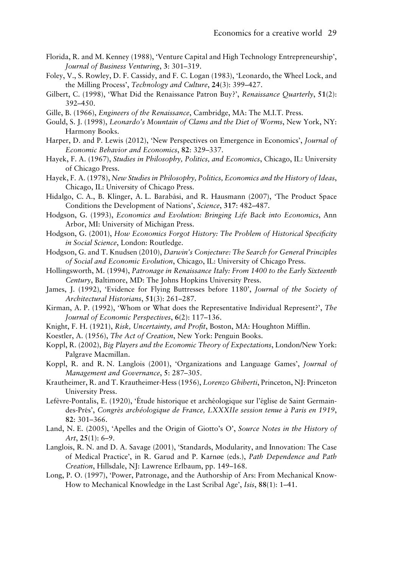- <span id="page-30-16"></span>Florida, R. and M. Kenney (1988), 'Venture Capital and High Technology Entrepreneurship', *Journal of Business Venturing*, **3**: 301–319.
- <span id="page-30-13"></span>Foley, V., S. Rowley, D. F. Cassidy, and F. C. Logan (1983), 'Leonardo, the Wheel Lock, and the Milling Process', *Technology and Culture*, **24**(3): 399–427.
- <span id="page-30-17"></span>Gilbert, C. (1998), 'What Did the Renaissance Patron Buy?', *Renaissance Quarterly*, **51**(2): 392–450.
- <span id="page-30-6"></span>Gille, B. (1966), *Engineers of the Renaissance*, Cambridge, MA: The M.I.T. Press.
- <span id="page-30-7"></span>Gould, S. J. (1998), *Leonardo's Mountain of Clams and the Diet of Worms*, New York, NY: Harmony Books.
- <span id="page-30-0"></span>Harper, D. and P. Lewis (2012), 'New Perspectives on Emergence in Economics', *Journal of Economic Behavior and Economics*, **82**: 329–337.
- <span id="page-30-1"></span>Hayek, F. A. (1967), *Studies in Philosophy, Politics, and Economics*, Chicago, IL: University of Chicago Press.
- <span id="page-30-4"></span>Hayek, F. A. (1978), *New Studies in Philosophy, Politics, Economics and the History of Ideas*, Chicago, IL: University of Chicago Press.
- <span id="page-30-9"></span>Hidalgo, C. A., B. Klinger, A. L. Barabási, and R. Hausmann (2007), 'The Product Space Conditions the Development of Nations', *Science*, **317**: 482–487.
- <span id="page-30-3"></span>Hodgson, G. (1993), *Economics and Evolution: Bringing Life Back into Economics*, Ann Arbor, MI: University of Michigan Press.
- <span id="page-30-2"></span>Hodgson, G. (2001), *How Economics Forgot History: The Problem of Historical Specificity in Social Science*, London: Routledge.
- <span id="page-30-14"></span>Hodgson, G. and T. Knudsen (2010), *Darwin's Conjecture: The Search for General Principles of Social and Economic Evolution*, Chicago, IL: University of Chicago Press.
- <span id="page-30-12"></span>Hollingsworth, M. (1994), *Patronage in Renaissance Italy: From 1400 to the Early Sixteenth Century*, Baltimore, MD: The Johns Hopkins University Press.
- <span id="page-30-5"></span>James, J. (1992), 'Evidence for Flying Buttresses before 1180', *Journal of the Society of Architectural Historians*, **51**(3): 261–287.
- <span id="page-30-8"></span>Kirman, A. P. (1992), 'Whom or What does the Representative Individual Represent?', *The Journal of Economic Perspectives*, **6**(2): 117–136.
- <span id="page-30-21"></span><span id="page-30-10"></span>Knight, F. H. (1921), *Risk, Uncertainty, and Profit*, Boston, MA: Houghton Mifflin.
- Koestler, A. (1956), *The Act of Creation*, New York: Penguin Books.
- <span id="page-30-20"></span>Koppl, R. (2002), *Big Players and the Economic Theory of Expectations*, London/New York: Palgrave Macmillan.
- Koppl, R. and R. N. Langlois (2001), 'Organizations and Language Games', *Journal of Management and Governance*, **5**: 287–305.
- <span id="page-30-11"></span>Krautheimer, R. and T. Krautheimer-Hess (1956), *Lorenzo Ghiberti*, Princeton, NJ: Princeton University Press.
- <span id="page-30-18"></span>Lefèvre-Pontalis, E. (1920), 'Étude historique et archéologique sur l'église de Saint Germaindes-Prés', Congrès archéologique de France, LXXXIIe session tenue à Paris en 1919, **82**: 301–366.
- <span id="page-30-19"></span>Land, N. E. (2005), 'Apelles and the Origin of Giotto's O', *Source Notes in the History of Art*, **25**(1): 6–9.
- <span id="page-30-15"></span>Langlois, R. N. and D. A. Savage (2001), 'Standards, Modularity, and Innovation: The Case of Medical Practice', in R. Garud and P. Karnøe (eds.), *Path Dependence and Path Creation*, Hillsdale, NJ: Lawrence Erlbaum, pp. 149–168.
- Long, P. O. (1997), 'Power, Patronage, and the Authorship of Ars: From Mechanical Know-How to Mechanical Knowledge in the Last Scribal Age', *Isis*, **88**(1): 1–41.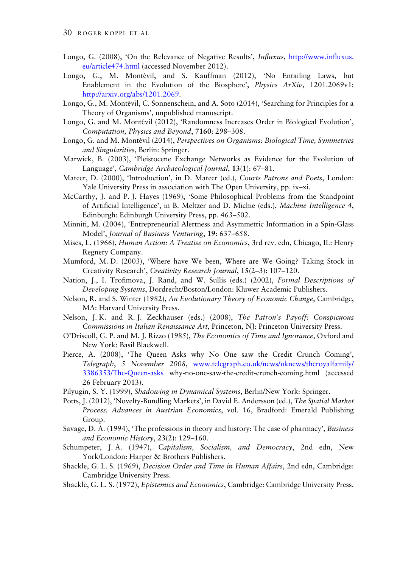- <span id="page-31-20"></span><span id="page-31-5"></span>Longo, G. (2008), 'On the Relevance of Negative Results', *Influxus*, [http://www.influxus.](http://www.influxus.eu/article474.html) [eu/article474.html](http://www.influxus.eu/article474.html) (accessed November 2012).
- <span id="page-31-10"></span>Longo, G., M. Montévil, and S. Kauffman (2012), 'No Entailing Laws, but Enablement in the Evolution of the Biosphere', *Physics ArXiv*, 1201.2069v1: [http://arxiv.org/abs/1201.2069.](http://arxiv.org/abs/1201.2069)
- <span id="page-31-9"></span>Longo, G., M. Montévil, C. Sonnenschein, and A. Soto (2014), 'Searching for Principles for a Theory of Organisms', unpublished manuscript.
- <span id="page-31-14"></span>Longo, G. and M. Montévil (2012), 'Randomness Increases Order in Biological Evolution', *Computation, Physics and Beyond*, **7160**: 298–308.
- <span id="page-31-7"></span>Longo, G. and M. Montévil (2014), *Perspectives on Organisms: Biological Time, Symmetries and Singularities*, Berlin: Springer.
- <span id="page-31-18"></span>Marwick, B. (2003), 'Pleistocene Exchange Networks as Evidence for the Evolution of Language', *Cambridge Archaeological Journal*, **13**(1): 67–81.
- Mateer, D. (2000), 'Introduction', in D. Mateer (ed.), *Courts Patrons and Poets*, London: Yale University Press in association with The Open University, pp. ix–xi.
- <span id="page-31-6"></span>McCarthy, J. and P. J. Hayes (1969), 'Some Philosophical Problems from the Standpoint of Artificial Intelligence', in B. Meltzer and D. Michie (eds.), *Machine Intelligence 4*, Edinburgh: Edinburgh University Press, pp. 463–502.
- <span id="page-31-12"></span>Minniti, M. (2004), 'Entrepreneurial Alertness and Asymmetric Information in a Spin-Glass Model', *Journal of Business Venturing*, **19**: 637–658.
- <span id="page-31-15"></span>Mises, L. (1966), *Human Action: A Treatise on Economics*, 3rd rev. edn, Chicago, IL: Henry Regnery Company.
- <span id="page-31-13"></span>Mumford, M. D. (2003), 'Where have We been, Where are We Going? Taking Stock in Creativity Research', *Creativity Research Journal*, **15**(2–3): 107–120.
- <span id="page-31-0"></span>Nation, J., I. Trofimova, J. Rand, and W. Sullis (eds.) (2002), *Formal Descriptions of Developing Systems*, Dordrecht/Boston/London: Kluwer Academic Publishers.
- <span id="page-31-17"></span>Nelson, R. and S. Winter (1982), *An Evolutionary Theory of Economic Change*, Cambridge, MA: Harvard University Press.
- <span id="page-31-8"></span>Nelson, J. K. and R. J. Zeckhauser (eds.) (2008), *The Patron's Payoff: Conspicuous Commissions in Italian Renaissance Art*, Princeton, NJ: Princeton University Press.
- <span id="page-31-4"></span>O'Driscoll, G. P. and M. J. Rizzo (1985), *The Economics of Time and Ignorance*, Oxford and New York: Basil Blackwell.
- Pierce, A. (2008), 'The Queen Asks why No One saw the Credit Crunch Coming', *Telegraph*, *5 November 2008*, [www.telegraph.co.uk/news/uknews/theroyalfamily/](http://www.telegraph.co.uk/news/uknews/theroyalfamily/3386353/The-Queen-asks) [3386353/The-Queen-asks](http://www.telegraph.co.uk/news/uknews/theroyalfamily/3386353/The-Queen-asks) why-no-one-saw-the-credit-crunch-coming.html (accessed 26 February 2013).
- <span id="page-31-3"></span><span id="page-31-1"></span>Pilyugin, S. Y. (1999), *Shadowing in Dynamical Systems*, Berlin/New York: Springer.
- <span id="page-31-19"></span>Potts, J. (2012), 'Novelty-Bundling Markets', in David E. Andersson (ed.), *The Spatial Market Process, Advances in Austrian Economics*, vol. 16, Bradford: Emerald Publishing Group.
- <span id="page-31-16"></span>Savage, D. A. (1994), 'The professions in theory and history: The case of pharmacy', *Business and Economic History*, **23**(2): 129–160.
- <span id="page-31-2"></span>Schumpeter, J. A. (1947), *Capitalism, Socialism, and Democracy*, 2nd edn, New York/London: Harper & Brothers Publishers.
- <span id="page-31-11"></span>Shackle, G. L. S. (1969), *Decision Order and Time in Human Affairs*, 2nd edn, Cambridge: Cambridge University Press.
- Shackle, G. L. S. (1972), *Epistemics and Economics*, Cambridge: Cambridge University Press.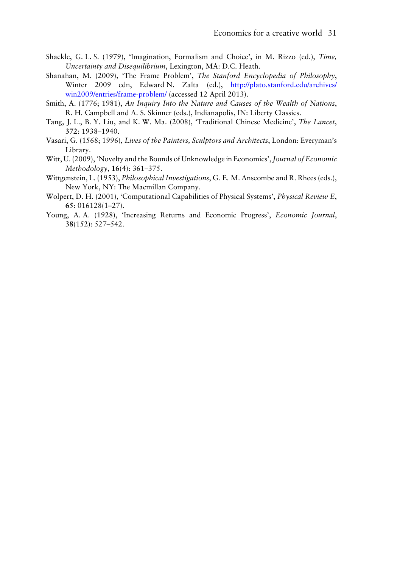- <span id="page-32-8"></span><span id="page-32-4"></span>Shackle, G. L. S. (1979), 'Imagination, Formalism and Choice', in M. Rizzo (ed.), *Time, Uncertainty and Disequilibrium*, Lexington, MA: D.C. Heath.
- <span id="page-32-2"></span>Shanahan, M. (2009), 'The Frame Problem', *The Stanford Encyclopedia of Philosophy*, Winter 2009 edn, Edward N. Zalta (ed.), [http://plato.stanford.edu/archives/](http://plato.stanford.edu/archives/win2009/entries/frame-problem/) [win2009/entries/frame-problem/](http://plato.stanford.edu/archives/win2009/entries/frame-problem/) (accessed 12 April 2013).
- <span id="page-32-6"></span>Smith, A. (1776; 1981), *An Inquiry Into the Nature and Causes of the Wealth of Nations*, R. H. Campbell and A. S. Skinner (eds.), Indianapolis, IN: Liberty Classics.
- <span id="page-32-5"></span>Tang, J. L., B. Y. Liu, and K. W. Ma. (2008), 'Traditional Chinese Medicine', *The Lancet*, **372**: 1938–1940.
- <span id="page-32-0"></span>Vasari, G. (1568; 1996), *Lives of the Painters, Sculptors and Architects*, London: Everyman's Library.
- <span id="page-32-7"></span>Witt, U. (2009), 'Novelty and the Bounds of Unknowledge in Economics',*Journal of Economic Methodology*, **16**(4): 361–375.
- <span id="page-32-1"></span>Wittgenstein, L. (1953), *Philosophical Investigations*, G. E. M. Anscombe and R. Rhees (eds.), New York, NY: The Macmillan Company.
- <span id="page-32-3"></span>Wolpert, D. H. (2001), 'Computational Capabilities of Physical Systems', *Physical Review E*, **65**: 016128(1–27).
- Young, A. A. (1928), 'Increasing Returns and Economic Progress', *Economic Journal*, **38**(152): 527–542.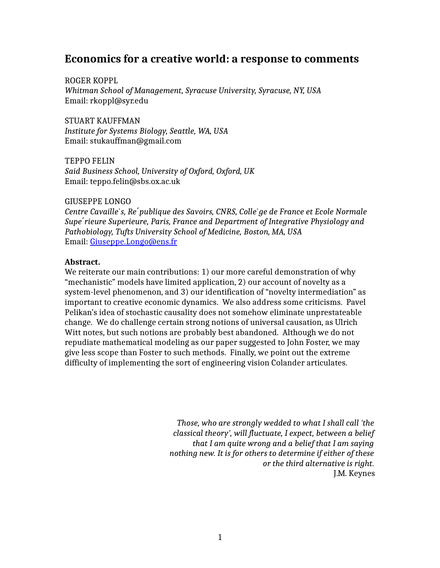## **Economics for a creative world: a response to comments**

ROGER KOPPL *Whitman School of Management, Syracuse University, Syracuse, NY, USA* Email: rkoppl@syr.edu

STUART KAUFFMAN *Institute for Systems Biology, Seattle, WA, USA* Email: stukauffman@gmail.com

TEPPO FELIN *Said Business School, University of Oxford, Oxford, UK* Email: teppo.felin@sbs.ox.ac.uk

## GIUSEPPE LONGO

*Centre Cavaille`s, Re publique des Savoirs, CNRS, Colle`ge de France et Ecole Normale* ́ *Supe rieure Superieure, Paris, France and Department of Integrative Physiology and* ́ *Pathobiology, Tufts University School of Medicine, Boston, MA, USA* Email: [Giuseppe.Longo@ens.fr](mailto:Giuseppe.Longo@ens.fr)

### **Abstract.**

We reiterate our main contributions: 1) our more careful demonstration of why "mechanistic" models have limited application, 2) our account of novelty as a system-level phenomenon, and 3) our identification of "novelty intermediation" as important to creative economic dynamics. We also address some criticisms. Pavel Pelikan's idea of stochastic causality does not somehow eliminate unprestateable change. We do challenge certain strong notions of universal causation, as Ulrich Witt notes, but such notions are probably best abandoned. Although we do not repudiate mathematical modeling as our paper suggested to John Foster, we may give less scope than Foster to such methods. Finally, we point out the extreme difficulty of implementing the sort of engineering vision Colander articulates.

> *Those, who are strongly wedded to what I shall call 'the classical theory', will fluctuate, I expect, between a belief that I am quite wrong and a belief that I am saying nothing new. It is for others to determine if either of these or the third alternative is right.* J.M. Keynes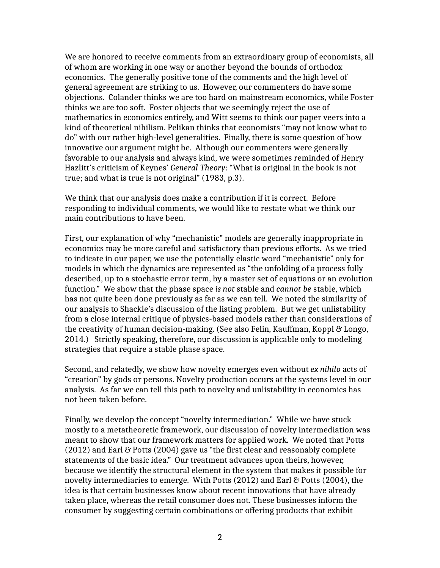We are honored to receive comments from an extraordinary group of economists, all of whom are working in one way or another beyond the bounds of orthodox economics. The generally positive tone of the comments and the high level of general agreement are striking to us. However, our commenters do have some objections. Colander thinks we are too hard on mainstream economics, while Foster thinks we are too soft. Foster objects that we seemingly reject the use of mathematics in economics entirely, and Witt seems to think our paper veers into a kind of theoretical nihilism. Pelikan thinks that economists "may not know what to do" with our rather high-level generalities. Finally, there is some question of how innovative our argument might be. Although our commenters were generally favorable to our analysis and always kind, we were sometimes reminded of Henry Hazlitt's criticism of Keynes' *General Theory*: "What is original in the book is not true; and what is true is not original" (1983, p.3).

We think that our analysis does make a contribution if it is correct. Before responding to individual comments, we would like to restate what we think our main contributions to have been.

First, our explanation of why "mechanistic" models are generally inappropriate in economics may be more careful and satisfactory than previous efforts. As we tried to indicate in our paper, we use the potentially elastic word "mechanistic" only for models in which the dynamics are represented as "the unfolding of a process fully described, up to a stochastic error term, by a master set of equations or an evolution function." We show that the phase space *is not* stable and *cannot be* stable, which has not quite been done previously as far as we can tell. We noted the similarity of our analysis to Shackle's discussion of the listing problem. But we get unlistability from a close internal critique of physics-based models rather than considerations of the creativity of human decision-making. (See also Felin, Kauffman, Koppl & Longo, 2014.) Strictly speaking, therefore, our discussion is applicable only to modeling strategies that require a stable phase space.

Second, and relatedly, we show how novelty emerges even without *ex nihilo* acts of "creation" by gods or persons. Novelty production occurs at the systems level in our analysis. As far we can tell this path to novelty and unlistability in economics has not been taken before.

Finally, we develop the concept "novelty intermediation." While we have stuck mostly to a metatheoretic framework, our discussion of novelty intermediation was meant to show that our framework matters for applied work. We noted that Potts (2012) and Earl & Potts (2004) gave us "the first clear and reasonably complete statements of the basic idea." Our treatment advances upon theirs, however, because we identify the structural element in the system that makes it possible for novelty intermediaries to emerge. With Potts (2012) and Earl & Potts (2004), the idea is that certain businesses know about recent innovations that have already taken place, whereas the retail consumer does not. These businesses inform the consumer by suggesting certain combinations or offering products that exhibit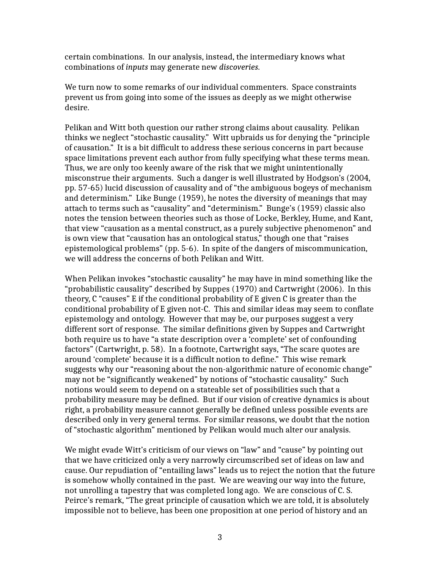certain combinations. In our analysis, instead, the intermediary knows what combinations of *inputs* may generate new *discoveries*.

We turn now to some remarks of our individual commenters. Space constraints prevent us from going into some of the issues as deeply as we might otherwise desire.

Pelikan and Witt both question our rather strong claims about causality. Pelikan thinks we neglect "stochastic causality." Witt upbraids us for denying the "principle of causation." It is a bit difficult to address these serious concerns in part because space limitations prevent each author from fully specifying what these terms mean. Thus, we are only too keenly aware of the risk that we might unintentionally misconstrue their arguments. Such a danger is well illustrated by Hodgson's (2004, pp. 57-65) lucid discussion of causality and of "the ambiguous bogeys of mechanism and determinism." Like Bunge (1959), he notes the diversity of meanings that may attach to terms such as "causality" and "determinism." Bunge's (1959) classic also notes the tension between theories such as those of Locke, Berkley, Hume, and Kant, that view "causation as a mental construct, as a purely subjective phenomenon" and is own view that "causation has an ontological status," though one that "raises epistemological problems" (pp. 5-6). In spite of the dangers of miscommunication, we will address the concerns of both Pelikan and Witt.

When Pelikan invokes "stochastic causality" he may have in mind something like the "probabilistic causality" described by Suppes (1970) and Cartwright (2006). In this theory, C "causes" E if the conditional probability of E given C is greater than the conditional probability of E given not-C. This and similar ideas may seem to conflate epistemology and ontology. However that may be, our purposes suggest a very different sort of response. The similar definitions given by Suppes and Cartwright both require us to have "a state description over a 'complete' set of confounding factors" (Cartwright, p. 58). In a footnote, Cartwright says, "The scare quotes are around 'complete' because it is a difficult notion to define." This wise remark suggests why our "reasoning about the non-algorithmic nature of economic change" may not be "significantly weakened" by notions of "stochastic causality." Such notions would seem to depend on a stateable set of possibilities such that a probability measure may be defined. But if our vision of creative dynamics is about right, a probability measure cannot generally be defined unless possible events are described only in very general terms. For similar reasons, we doubt that the notion of "stochastic algorithm" mentioned by Pelikan would much alter our analysis.

We might evade Witt's criticism of our views on "law" and "cause" by pointing out that we have criticized only a very narrowly circumscribed set of ideas on law and cause. Our repudiation of "entailing laws" leads us to reject the notion that the future is somehow wholly contained in the past. We are weaving our way into the future, not unrolling a tapestry that was completed long ago. We are conscious of C. S. Peirce's remark, "The great principle of causation which we are told, it is absolutely impossible not to believe, has been one proposition at one period of history and an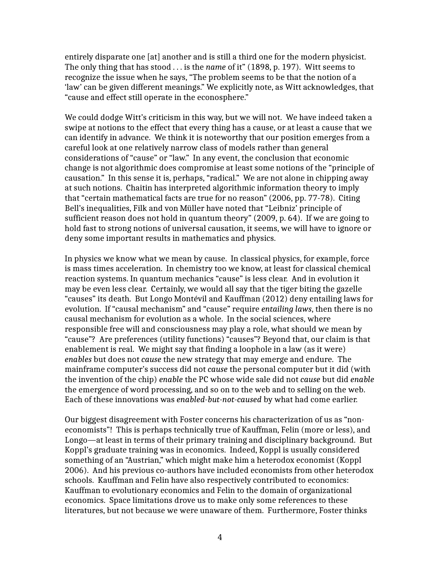entirely disparate one [at] another and is still a third one for the modern physicist. The only thing that has stood . . . is the *name* of it" (1898, p. 197). Witt seems to recognize the issue when he says, "The problem seems to be that the notion of a 'law' can be given different meanings." We explicitly note, as Witt acknowledges, that "cause and effect still operate in the econosphere."

We could dodge Witt's criticism in this way, but we will not. We have indeed taken a swipe at notions to the effect that every thing has a cause, or at least a cause that we can identify in advance. We think it is noteworthy that our position emerges from a careful look at one relatively narrow class of models rather than general considerations of "cause" or "law." In any event, the conclusion that economic change is not algorithmic does compromise at least some notions of the "principle of causation." In this sense it is, perhaps, "radical." We are not alone in chipping away at such notions. Chaitin has interpreted algorithmic information theory to imply that "certain mathematical facts are true for no reason" (2006, pp. 77-78). Citing Bell's inequalities, Filk and von Müller have noted that "Leibniz' principle of sufficient reason does not hold in quantum theory" (2009, p. 64). If we are going to hold fast to strong notions of universal causation, it seems, we will have to ignore or deny some important results in mathematics and physics.

In physics we know what we mean by cause. In classical physics, for example, force is mass times acceleration. In chemistry too we know, at least for classical chemical reaction systems. In quantum mechanics "cause" is less clear. And in evolution it may be even less clear. Certainly, we would all say that the tiger biting the gazelle "causes" its death. But Longo Montévil and Kauffman (2012) deny entailing laws for evolution. If "causal mechanism" and "cause" require *entailing laws*, then there is no causal mechanism for evolution as a whole. In the social sciences, where responsible free will and consciousness may play a role, what should we mean by "cause"? Are preferences (utility functions) "causes"? Beyond that, our claim is that enablement is real. We might say that finding a loophole in a law (as it were) *enables* but does not *cause* the new strategy that may emerge and endure. The mainframe computer's success did not *cause* the personal computer but it did (with the invention of the chip) *enable* the PC whose wide sale did not *cause* but did *enable* the emergence of word processing, and so on to the web and to selling on the web. Each of these innovations was *enabled-but-not-caused* by what had come earlier.

Our biggest disagreement with Foster concerns his characterization of us as "noneconomists"! This is perhaps technically true of Kauffman, Felin (more or less), and Longo—at least in terms of their primary training and disciplinary background. But Koppl's graduate training was in economics. Indeed, Koppl is usually considered something of an "Austrian," which might make him a heterodox economist (Koppl 2006). And his previous co-authors have included economists from other heterodox schools. Kauffman and Felin have also respectively contributed to economics: Kauffman to evolutionary economics and Felin to the domain of organizational economics. Space limitations drove us to make only some references to these literatures, but not because we were unaware of them. Furthermore, Foster thinks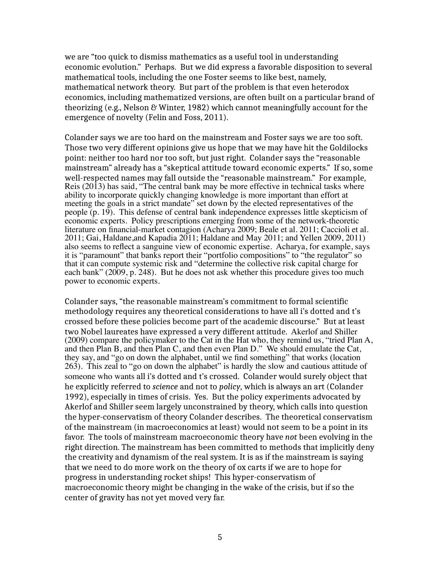we are "too quick to dismiss mathematics as a useful tool in understanding economic evolution." Perhaps. But we did express a favorable disposition to several mathematical tools, including the one Foster seems to like best, namely, mathematical network theory. But part of the problem is that even heterodox economics, including mathematized versions, are often built on a particular brand of theorizing (e.g., Nelson & Winter, 1982) which cannot meaningfully account for the emergence of novelty (Felin and Foss, 2011).

Colander says we are too hard on the mainstream and Foster says we are too soft. Those two very different opinions give us hope that we may have hit the Goldilocks point: neither too hard nor too soft, but just right. Colander says the "reasonable mainstream" already has a "skeptical attitude toward economic experts." If so, some well-respected names may fall outside the "reasonable mainstream." For example, Reis (2013) has said, "The central bank may be more effective in technical tasks where ability to incorporate quickly changing knowledge is more important than effort at meeting the goals in a strict mandate" set down by the elected representatives of the people (p. 19). This defense of central bank independence expresses little skepticism of economic experts. Policy prescriptions emerging from some of the network-theoretic literature on financial-market contagion (Acharya 2009; Beale et al. 2011; Caccioli et al. 2011; Gai, Haldane,and Kapadia 2011; Haldane and May 2011; and Yellen 2009, 2011) also seems to reflect a sanguine view of economic expertise. Acharya, for example, says it is "paramount" that banks report their "portfolio compositions" to "the regulator" so that it can compute systemic risk and "determine the collective risk capital charge for each bank" (2009, p. 248). But he does not ask whether this procedure gives too much power to economic experts.

Colander says, "the reasonable mainstream's commitment to formal scientific methodology requires any theoretical considerations to have all i's dotted and t's crossed before these policies become part of the academic discourse." But at least two Nobel laureates have expressed a very different attitude. Akerlof and Shiller (2009) compare the policymaker to the Cat in the Hat who, they remind us, "tried Plan A, and then Plan B, and then Plan C, and then even Plan D." We should emulate the Cat, they say, and "go on down the alphabet, until we find something" that works (location 263). This zeal to "go on down the alphabet" is hardly the slow and cautious attitude of someone who wants all i's dotted and t's crossed. Colander would surely object that he explicitly referred to *science* and not to *policy*, which is always an art (Colander 1992), especially in times of crisis. Yes. But the policy experiments advocated by Akerlof and Shiller seem largely unconstrained by theory, which calls into question the hyper-conservatism of theory Colander describes. The theoretical conservatism of the mainstream (in macroeconomics at least) would not seem to be a point in its favor. The tools of mainstream macroeconomic theory have *not* been evolving in the right direction. The mainstream has been committed to methods that implicitly deny the creativity and dynamism of the real system. It is as if the mainstream is saying that we need to do more work on the theory of ox carts if we are to hope for progress in understanding rocket ships! This hyper-conservatism of macroeconomic theory might be changing in the wake of the crisis, but if so the center of gravity has not yet moved very far.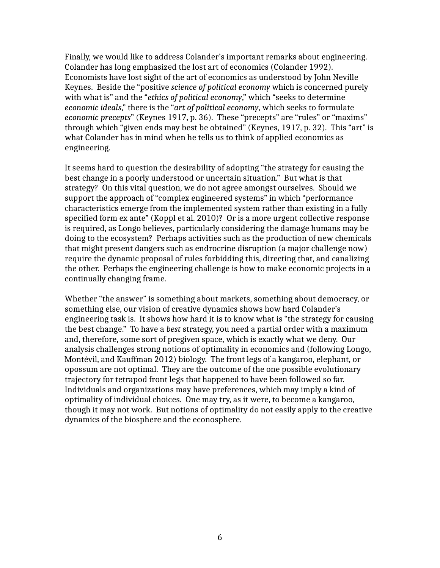Finally, we would like to address Colander's important remarks about engineering. Colander has long emphasized the lost art of economics (Colander 1992). Economists have lost sight of the art of economics as understood by John Neville Keynes. Beside the "positive *science of political economy* which is concerned purely with what is" and the "*ethics of political economy*," which "seeks to determine *economic ideals*," there is the "*art of political economy*, which seeks to formulate *economic precepts*" (Keynes 1917, p. 36). These "precepts" are "rules" or "maxims" through which "given ends may best be obtained" (Keynes, 1917, p. 32). This "art" is what Colander has in mind when he tells us to think of applied economics as engineering.

It seems hard to question the desirability of adopting "the strategy for causing the best change in a poorly understood or uncertain situation." But what is that strategy? On this vital question, we do not agree amongst ourselves. Should we support the approach of "complex engineered systems" in which "performance characteristics emerge from the implemented system rather than existing in a fully specified form ex ante" (Koppl et al. 2010)? Or is a more urgent collective response is required, as Longo believes, particularly considering the damage humans may be doing to the ecosystem? Perhaps activities such as the production of new chemicals that might present dangers such as endrocrine disruption (a major challenge now) require the dynamic proposal of rules forbidding this, directing that, and canalizing the other. Perhaps the engineering challenge is how to make economic projects in a continually changing frame.

Whether "the answer" is something about markets, something about democracy, or something else, our vision of creative dynamics shows how hard Colander's engineering task is. It shows how hard it is to know what is "the strategy for causing the best change." To have a *best* strategy, you need a partial order with a maximum and, therefore, some sort of pregiven space, which is exactly what we deny. Our analysis challenges strong notions of optimality in economics and (following Longo, Montévil, and Kauffman 2012) biology. The front legs of a kangaroo, elephant, or opossum are not optimal. They are the outcome of the one possible evolutionary trajectory for tetrapod front legs that happened to have been followed so far. Individuals and organizations may have preferences, which may imply a kind of optimality of individual choices. One may try, as it were, to become a kangaroo, though it may not work. But notions of optimality do not easily apply to the creative dynamics of the biosphere and the econosphere.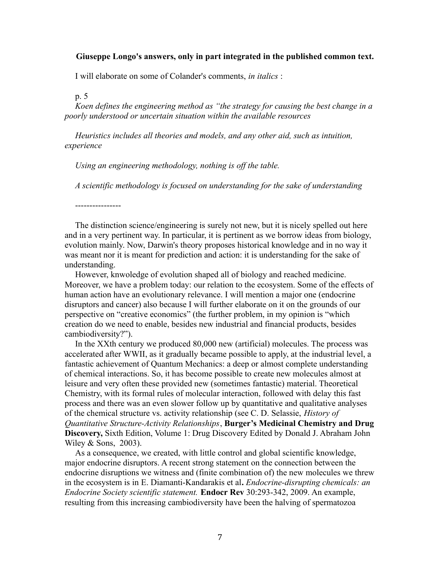### **Giuseppe Longo's answers, only in part integrated in the published common text.**

I will elaborate on some of Colander's comments, *in italics* :

#### p. 5

*Koen defines the engineering method as "the strategy for causing the best change in a poorly understood or uncertain situation within the available resources*

*Heuristics includes all theories and models, and any other aid, such as intuition, experience*

*Using an engineering methodology, nothing is off the table.*

*A scientific methodology is focused on understanding for the sake of understanding*

----------------

The distinction science/engineering is surely not new, but it is nicely spelled out here and in a very pertinent way. In particular, it is pertinent as we borrow ideas from biology, evolution mainly. Now, Darwin's theory proposes historical knowledge and in no way it was meant nor it is meant for prediction and action: it is understanding for the sake of understanding.

However, knwoledge of evolution shaped all of biology and reached medicine. Moreover, we have a problem today: our relation to the ecosystem. Some of the effects of human action have an evolutionary relevance. I will mention a major one (endocrine disruptors and cancer) also because I will further elaborate on it on the grounds of our perspective on "creative economics" (the further problem, in my opinion is "which creation do we need to enable, besides new industrial and financial products, besides cambiodiversity?").

In the XXth century we produced 80,000 new (artificial) molecules. The process was accelerated after WWII, as it gradually became possible to apply, at the industrial level, a fantastic achievement of Quantum Mechanics: a deep or almost complete understanding of chemical interactions. So, it has become possible to create new molecules almost at leisure and very often these provided new (sometimes fantastic) material. Theoretical Chemistry, with its formal rules of molecular interaction, followed with delay this fast process and there was an even slower follow up by quantitative and qualitative analyses of the chemical structure vs. activity relationship (see C. D. Selassie, *History of Quantitative Structure-Activity Relationships*, **Burger's Medicinal Chemistry and Drug Discovery,** Sixth Edition, Volume 1: Drug Discovery Edited by Donald J. Abraham John Wiley & Sons, 2003).

As a consequence, we created, with little control and global scientific knowledge, major endocrine disruptors. A recent strong statement on the connection between the endocrine disruptions we witness and (finite combination of) the new molecules we threw in the ecosystem is in E. Diamanti-Kandarakis et al**.** *Endocrine-disrupting chemicals: an Endocrine Society scientific statement.* **Endocr Rev** 30:293-342, 2009. An example, resulting from this increasing cambiodiversity have been the halving of spermatozoa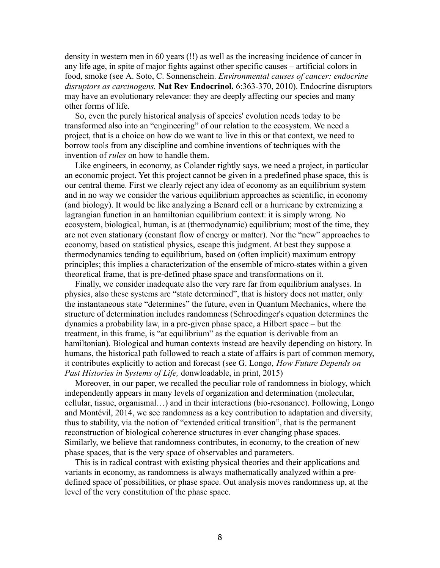density in western men in 60 years (!!) as well as the increasing incidence of cancer in any life age, in spite of major fights against other specific causes – artificial colors in food, smoke (see A. Soto, C. Sonnenschein. *Environmental causes of cancer: endocrine disruptors as carcinogens.* **Nat Rev Endocrinol.** 6:363-370, 2010). Endocrine disruptors may have an evolutionary relevance: they are deeply affecting our species and many other forms of life.

So, even the purely historical analysis of species' evolution needs today to be transformed also into an "engineering" of our relation to the ecosystem. We need a project, that is a choice on how do we want to live in this or that context, we need to borrow tools from any discipline and combine inventions of techniques with the invention of *rules* on how to handle them.

Like engineers, in economy, as Colander rightly says, we need a project, in particular an economic project. Yet this project cannot be given in a predefined phase space, this is our central theme. First we clearly reject any idea of economy as an equilibrium system and in no way we consider the various equilibrium approaches as scientific, in economy (and biology). It would be like analyzing a Benard cell or a hurricane by extremizing a lagrangian function in an hamiltonian equilibrium context: it is simply wrong. No ecosystem, biological, human, is at (thermodynamic) equilibrium; most of the time, they are not even stationary (constant flow of energy or matter). Nor the "new" approaches to economy, based on statistical physics, escape this judgment. At best they suppose a thermodynamics tending to equilibrium, based on (often implicit) maximum entropy principles; this implies a characterization of the ensemble of micro-states within a given theoretical frame, that is pre-defined phase space and transformations on it.

Finally, we consider inadequate also the very rare far from equilibrium analyses. In physics, also these systems are "state determined", that is history does not matter, only the instantaneous state "determines" the future, even in Quantum Mechanics, where the structure of determination includes randomness (Schroedinger's equation determines the dynamics a probability law, in a pre-given phase space, a Hilbert space – but the treatment, in this frame, is "at equilibrium" as the equation is derivable from an hamiltonian). Biological and human contexts instead are heavily depending on history. In humans, the historical path followed to reach a state of affairs is part of common memory, it contributes explicitly to action and forecast (see G. Longo, *How Future Depends on Past Histories in Systems of Life,* donwloadable, in print, 2015)

Moreover, in our paper, we recalled the peculiar role of randomness in biology, which independently appears in many levels of organization and determination (molecular, cellular, tissue, organismal…) and in their interactions (bio-resonance). Following, Longo and Montévil, 2014, we see randomness as a key contribution to adaptation and diversity, thus to stability, via the notion of "extended critical transition", that is the permanent reconstruction of biological coherence structures in ever changing phase spaces. Similarly, we believe that randomness contributes, in economy, to the creation of new phase spaces, that is the very space of observables and parameters.

This is in radical contrast with existing physical theories and their applications and variants in economy, as randomness is always mathematically analyzed within a predefined space of possibilities, or phase space. Out analysis moves randomness up, at the level of the very constitution of the phase space.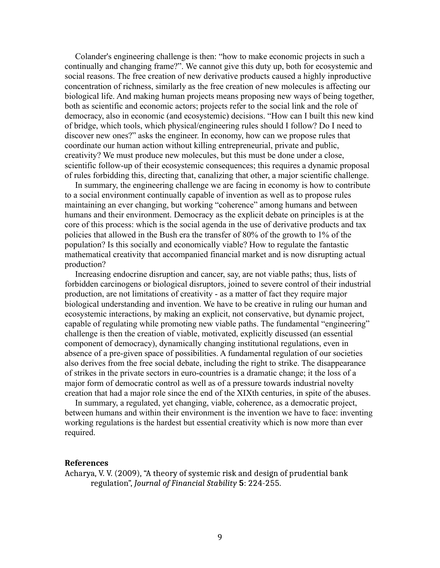Colander's engineering challenge is then: "how to make economic projects in such a continually and changing frame?". We cannot give this duty up, both for ecosystemic and social reasons. The free creation of new derivative products caused a highly inproductive concentration of richness, similarly as the free creation of new molecules is affecting our biological life. And making human projects means proposing new ways of being together, both as scientific and economic actors; projects refer to the social link and the role of democracy, also in economic (and ecosystemic) decisions. "How can I built this new kind of bridge, which tools, which physical/engineering rules should I follow? Do I need to discover new ones?" asks the engineer. In economy, how can we propose rules that coordinate our human action without killing entrepreneurial, private and public, creativity? We must produce new molecules, but this must be done under a close, scientific follow-up of their ecosystemic consequences; this requires a dynamic proposal of rules forbidding this, directing that, canalizing that other, a major scientific challenge.

In summary, the engineering challenge we are facing in economy is how to contribute to a social environment continually capable of invention as well as to propose rules maintaining an ever changing, but working "coherence" among humans and between humans and their environment. Democracy as the explicit debate on principles is at the core of this process: which is the social agenda in the use of derivative products and tax policies that allowed in the Bush era the transfer of 80% of the growth to 1% of the population? Is this socially and economically viable? How to regulate the fantastic mathematical creativity that accompanied financial market and is now disrupting actual production?

Increasing endocrine disruption and cancer, say, are not viable paths; thus, lists of forbidden carcinogens or biological disruptors, joined to severe control of their industrial production, are not limitations of creativity - as a matter of fact they require major biological understanding and invention. We have to be creative in ruling our human and ecosystemic interactions, by making an explicit, not conservative, but dynamic project, capable of regulating while promoting new viable paths. The fundamental "engineering" challenge is then the creation of viable, motivated, explicitly discussed (an essential component of democracy), dynamically changing institutional regulations, even in absence of a pre-given space of possibilities. A fundamental regulation of our societies also derives from the free social debate, including the right to strike. The disappearance of strikes in the private sectors in euro-countries is a dramatic change; it the loss of a major form of democratic control as well as of a pressure towards industrial novelty creation that had a major role since the end of the XIXth centuries, in spite of the abuses.

In summary, a regulated, yet changing, viable, coherence, as a democratic project, between humans and within their environment is the invention we have to face: inventing working regulations is the hardest but essential creativity which is now more than ever required.

### **References**

Acharya, V. V. (2009), "A theory of systemic risk and design of prudential bank regulation", *Journal of Financial Stability* **5**: 224-255.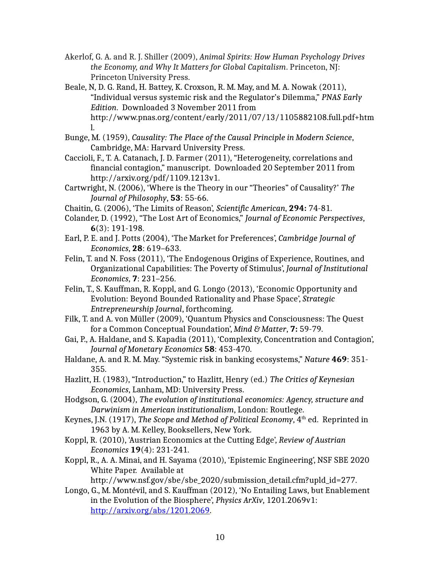- Akerlof, G. A. and R. J. Shiller (2009), *Animal Spirits: How Human Psychology Drives the Economy, and Why It Matters for Global Capitalism*. Princeton, NJ: Princeton University Press.
- Beale, N, D. G. Rand, H. Battey, K. Croxson, R. M. May, and M. A. Nowak (2011), "Individual versus systemic risk and the Regulator's Dilemma," *PNAS Early Edition*. Downloaded 3 November 2011 from http://www.pnas.org/content/early/2011/07/13/1105882108.full.pdf+htm l.
- Bunge, M. (1959), *Causality: The Place of the Causal Principle in Modern Science*, Cambridge, MA: Harvard University Press.
- Caccioli, F., T. A. Catanach, J. D. Farmer (2011), "Heterogeneity, correlations and financial contagion," manuscript. Downloaded 20 September 2011 from http://arxiv.org/pdf/1109.1213v1.
- Cartwright, N. (2006), 'Where is the Theory in our "Theories" of Causality?' *The Journal of Philosophy*, **53**: 55-66.
- Chaitin, G. (2006), 'The Limits of Reason', *Scientific American*, **294:** 74-81.
- Colander, D. (1992), "The Lost Art of Economics," *Journal of Economic Perspectives*, **6**(3): 191-198.
- Earl, P. E. and J. Potts (2004), 'The Market for Preferences', *Cambridge Journal of Economics*, **28**: 619–633.
- Felin, T. and N. Foss (2011), 'The Endogenous Origins of Experience, Routines, and Organizational Capabilities: The Poverty of Stimulus', *Journal of Institutional Economics*, **7**: 231–256.
- Felin, T., S. Kauffman, R. Koppl, and G. Longo (2013), 'Economic Opportunity and Evolution: Beyond Bounded Rationality and Phase Space', *Strategic Entrepreneurship Journal*, forthcoming.
- Filk, T. and A. von Müller (2009), 'Quantum Physics and Consciousness: The Quest for a Common Conceptual Foundation', *Mind & Matter*, **7:** 59-79.
- Gai, P., A. Haldane, and S. Kapadia (2011), 'Complexity, Concentration and Contagion', *Journal of Monetary Economics* **58**: 453-470.
- Haldane, A. and R. M. May. "Systemic risk in banking ecosystems," *Nature* **469**: 351- 355.
- Hazlitt, H. (1983), "Introduction," to Hazlitt, Henry (ed.) *The Critics of Keynesian Economics*, Lanham, MD: University Press.
- Hodgson, G. (2004), *The evolution of institutional economics: Agency, structure and Darwinism in American institutionalism*, London: Routlege.
- Keynes, J.N. (1917), *The Scope and Method of Political Economy*, 4<sup>th</sup> ed. Reprinted in 1963 by A. M. Kelley, Booksellers, New York.
- Koppl, R. (2010), 'Austrian Economics at the Cutting Edge', *Review of Austrian Economics* **19**(4): 231-241.
- Koppl, R., A. A. Minai, and H. Sayama (2010), 'Epistemic Engineering', NSF SBE 2020 White Paper. Available at http://www.nsf.gov/sbe/sbe\_2020/submission\_detail.cfm?upld\_id=277.
- Longo, G., M. Montévil, and S. Kauffman (2012), 'No Entailing Laws, but Enablement in the Evolution of the Biosphere', *Physics ArXiv*, 1201.2069v1: [http://arxiv.org/abs/1201.2069.](http://arxiv.org/abs/1201.2069)